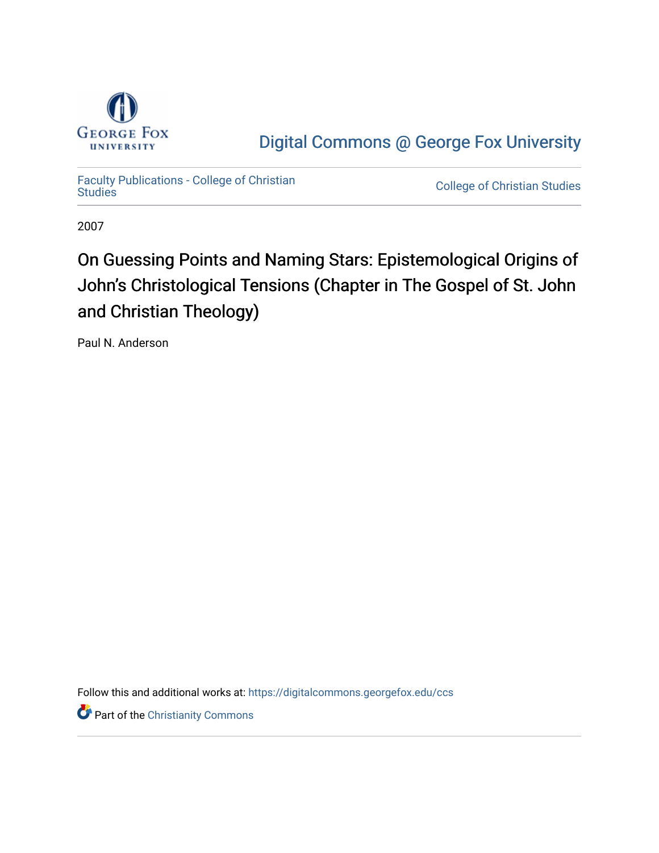

[Digital Commons @ George Fox University](https://digitalcommons.georgefox.edu/) 

[Faculty Publications - College of Christian](https://digitalcommons.georgefox.edu/ccs) 

**College of Christian Studies** 

2007

# On Guessing Points and Naming Stars: Epistemological Origins of John's Christological Tensions (Chapter in The Gospel of St. John and Christian Theology)

Paul N. Anderson

Follow this and additional works at: [https://digitalcommons.georgefox.edu/ccs](https://digitalcommons.georgefox.edu/ccs?utm_source=digitalcommons.georgefox.edu%2Fccs%2F367&utm_medium=PDF&utm_campaign=PDFCoverPages) 

Part of the [Christianity Commons](http://network.bepress.com/hgg/discipline/1181?utm_source=digitalcommons.georgefox.edu%2Fccs%2F367&utm_medium=PDF&utm_campaign=PDFCoverPages)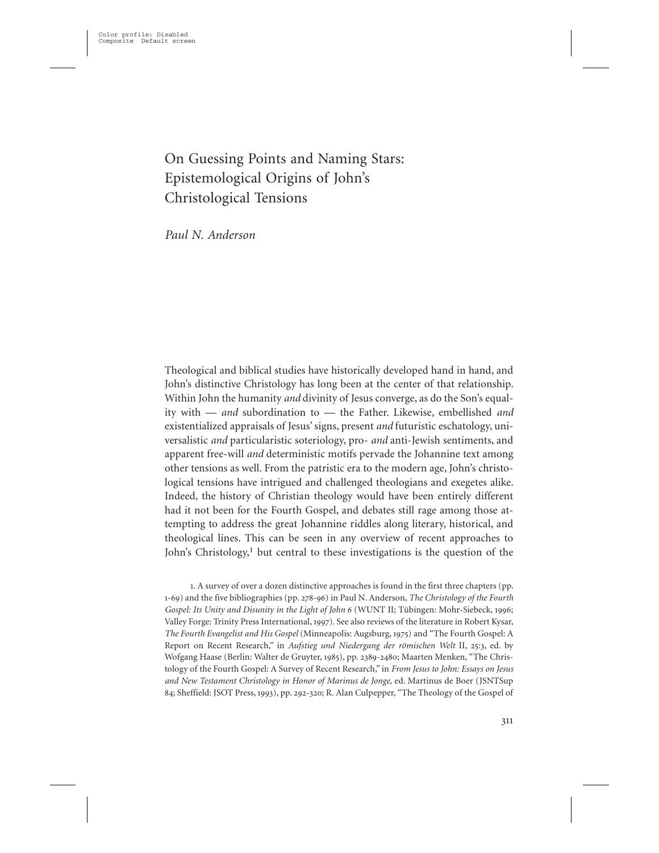## On Guessing Points and Naming Stars: Epistemological Origins of John's Christological Tensions

*Paul N. Anderson*

Theological and biblical studies have historically developed hand in hand, and John's distinctive Christology has long been at the center of that relationship. Within John the humanity *and* divinity of Jesus converge, as do the Son's equality with — *and* subordination to — the Father. Likewise, embellished *and* existentialized appraisals of Jesus' signs, present *and* futuristic eschatology, universalistic *and* particularistic soteriology, pro- *and* anti-Jewish sentiments, and apparent free-will *and* deterministic motifs pervade the Johannine text among other tensions as well. From the patristic era to the modern age, John's christological tensions have intrigued and challenged theologians and exegetes alike. Indeed, the history of Christian theology would have been entirely different had it not been for the Fourth Gospel, and debates still rage among those attempting to address the great Johannine riddles along literary, historical, and theological lines. This can be seen in any overview of recent approaches to John's Christology,<sup>1</sup> but central to these investigations is the question of the

1. A survey of over a dozen distinctive approaches is found in the first three chapters (pp. 1-69) and the five bibliographies (pp. 278-96) in Paul N. Anderson, *The Christology of the Fourth Gospel: Its Unity and Disunity in the Light of John 6* (WUNT II; Tübingen: Mohr-Siebeck, 1996; Valley Forge: Trinity Press International, 1997). See also reviews of the literature in Robert Kysar, *The Fourth Evangelist and His Gospel* (Minneapolis: Augsburg, 1975) and "The Fourth Gospel: A Report on Recent Research," in *Aufstieg und Niedergang der römischen Welt* II, 25:3, ed. by Wofgang Haase (Berlin: Walter de Gruyter, 1985), pp. 2389-2480; Maarten Menken, "The Christology of the Fourth Gospel: A Survey of Recent Research," in *From Jesus to John: Essays on Jesus and New Testament Christology in Honor of Marinus de Jonge,* ed. Martinus de Boer (JSNTSup 84; Sheffield: JSOT Press, 1993), pp. 292-320; R. Alan Culpepper, "The Theology of the Gospel of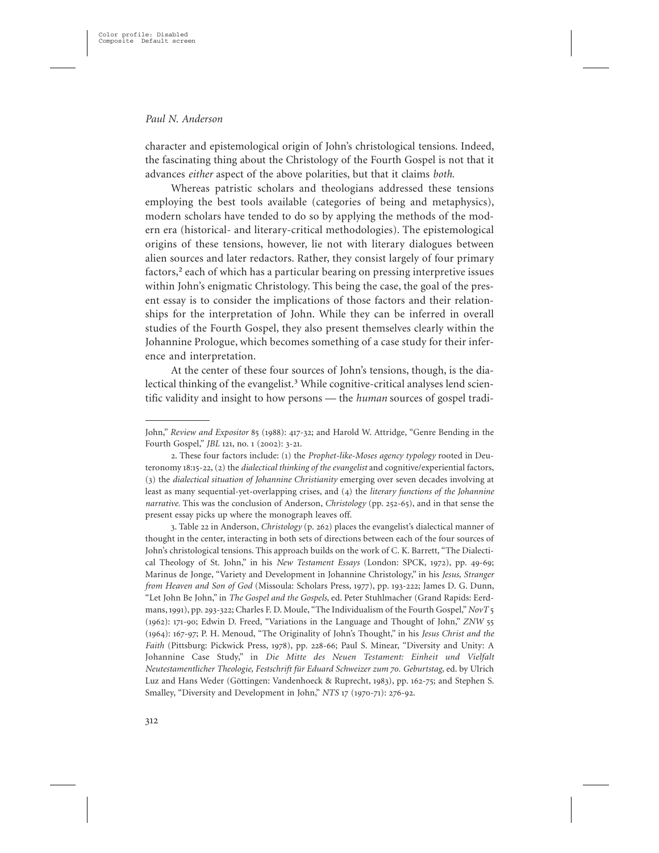character and epistemological origin of John's christological tensions. Indeed, the fascinating thing about the Christology of the Fourth Gospel is not that it advances *either* aspect of the above polarities, but that it claims *both.*

Whereas patristic scholars and theologians addressed these tensions employing the best tools available (categories of being and metaphysics), modern scholars have tended to do so by applying the methods of the modern era (historical- and literary-critical methodologies). The epistemological origins of these tensions, however, lie not with literary dialogues between alien sources and later redactors. Rather, they consist largely of four primary factors,<sup>2</sup> each of which has a particular bearing on pressing interpretive issues within John's enigmatic Christology. This being the case, the goal of the present essay is to consider the implications of those factors and their relationships for the interpretation of John. While they can be inferred in overall studies of the Fourth Gospel, they also present themselves clearly within the Johannine Prologue, which becomes something of a case study for their inference and interpretation.

At the center of these four sources of John's tensions, though, is the dialectical thinking of the evangelist.<sup>3</sup> While cognitive-critical analyses lend scientific validity and insight to how persons — the *human* sources of gospel tradi-

John," *Review and Expositor* 85 (1988): 417-32; and Harold W. Attridge, "Genre Bending in the Fourth Gospel," *JBL* 121, no. 1 (2002): 3-21.

<sup>2.</sup> These four factors include: (1) the *Prophet-like-Moses agency typology* rooted in Deuteronomy 18:15-22, (2) the *dialectical thinking of the evangelist* and cognitive/experiential factors, (3) the *dialectical situation of Johannine Christianity* emerging over seven decades involving at least as many sequential-yet-overlapping crises, and (4) the *literary functions of the Johannine narrative.* This was the conclusion of Anderson, *Christology* (pp. 252-65), and in that sense the present essay picks up where the monograph leaves off.

<sup>3.</sup> Table 22 in Anderson, *Christology* (p. 262) places the evangelist's dialectical manner of thought in the center, interacting in both sets of directions between each of the four sources of John's christological tensions. This approach builds on the work of C. K. Barrett, "The Dialectical Theology of St. John," in his *New Testament Essays* (London: SPCK, 1972), pp. 49-69; Marinus de Jonge, "Variety and Development in Johannine Christology," in his *Jesus, Stranger from Heaven and Son of God* (Missoula: Scholars Press, 1977), pp. 193-222; James D. G. Dunn, "Let John Be John," in *The Gospel and the Gospels,* ed. Peter Stuhlmacher (Grand Rapids: Eerdmans, 1991), pp. 293-322; Charles F. D. Moule, "The Individualism of the Fourth Gospel," *NovT* 5 (1962): 171-90; Edwin D. Freed, "Variations in the Language and Thought of John," *ZNW* 55 (1964): 167-97; P. H. Menoud, "The Originality of John's Thought," in his *Jesus Christ and the Faith* (Pittsburg: Pickwick Press, 1978), pp. 228-66; Paul S. Minear, "Diversity and Unity: A Johannine Case Study," in *Die Mitte des Neuen Testament: Einheit und Vielfalt Neutestamentlicher Theologie, Festschrift für Eduard Schweizer zum 70. Geburtstag,* ed. by Ulrich Luz and Hans Weder (Göttingen: Vandenhoeck & Ruprecht, 1983), pp. 162-75; and Stephen S. Smalley, "Diversity and Development in John," *NTS* 17 (1970-71): 276-92.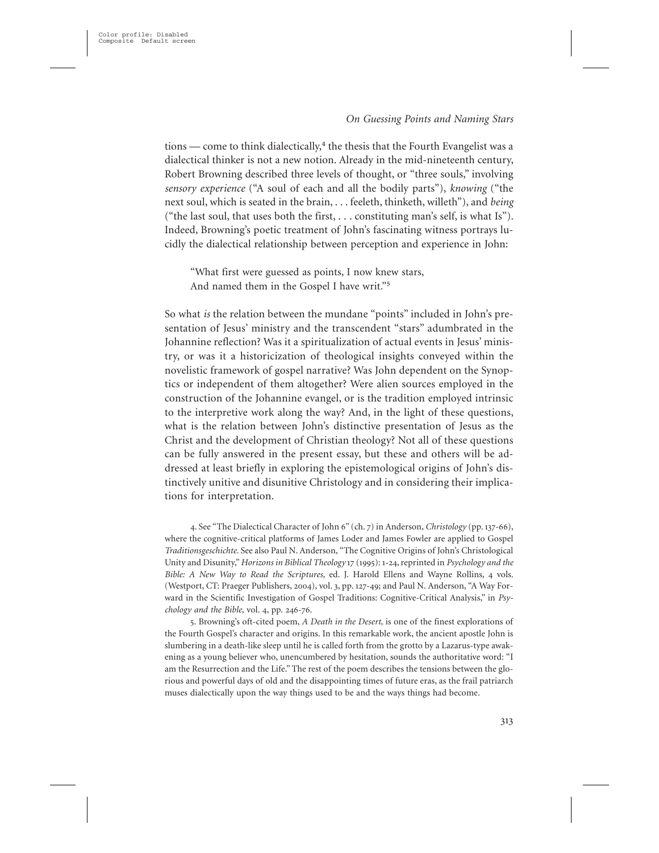tions — come to think dialectically, $4$  the thesis that the Fourth Evangelist was a dialectical thinker is not a new notion. Already in the mid-nineteenth century, Robert Browning described three levels of thought, or "three souls," involving *sensory experience* ("A soul of each and all the bodily parts"), *knowing* ("the next soul, which is seated in the brain, . . . feeleth, thinketh, willeth"), and *being* ("the last soul, that uses both the first, . . . constituting man's self, is what Is"). Indeed, Browning's poetic treatment of John's fascinating witness portrays lucidly the dialectical relationship between perception and experience in John:

"What first were guessed as points, I now knew stars, And named them in the Gospel I have writ."5

So what *is* the relation between the mundane "points" included in John's presentation of Jesus' ministry and the transcendent "stars" adumbrated in the Johannine reflection? Was it a spiritualization of actual events in Jesus' ministry, or was it a historicization of theological insights conveyed within the novelistic framework of gospel narrative? Was John dependent on the Synoptics or independent of them altogether? Were alien sources employed in the construction of the Johannine evangel, or is the tradition employed intrinsic to the interpretive work along the way? And, in the light of these questions, what is the relation between John's distinctive presentation of Jesus as the Christ and the development of Christian theology? Not all of these questions can be fully answered in the present essay, but these and others will be addressed at least briefly in exploring the epistemological origins of John's distinctively unitive and disunitive Christology and in considering their implications for interpretation.

4. See "The Dialectical Character of John 6" (ch. 7) in Anderson, *Christology* (pp. 137-66), where the cognitive-critical platforms of James Loder and James Fowler are applied to Gospel *Traditionsgeschichte.* See also Paul N. Anderson, "The Cognitive Origins of John's Christological Unity and Disunity,"*Horizons in Biblical Theology* 17 (1995): 1-24, reprinted in *Psychology and the Bible: A New Way to Read the Scriptures,* ed. J. Harold Ellens and Wayne Rollins, 4 vols. (Westport, CT: Praeger Publishers, 2004), vol. 3, pp. 127-49; and Paul N. Anderson, "A Way Forward in the Scientific Investigation of Gospel Traditions: Cognitive-Critical Analysis," in *Psychology and the Bible,* vol. 4, pp. 246-76.

5. Browning's oft-cited poem, *A Death in the Desert,* is one of the finest explorations of the Fourth Gospel's character and origins. In this remarkable work, the ancient apostle John is slumbering in a death-like sleep until he is called forth from the grotto by a Lazarus-type awakening as a young believer who, unencumbered by hesitation, sounds the authoritative word: "I am the Resurrection and the Life." The rest of the poem describes the tensions between the glorious and powerful days of old and the disappointing times of future eras, as the frail patriarch muses dialectically upon the way things used to be and the ways things had become.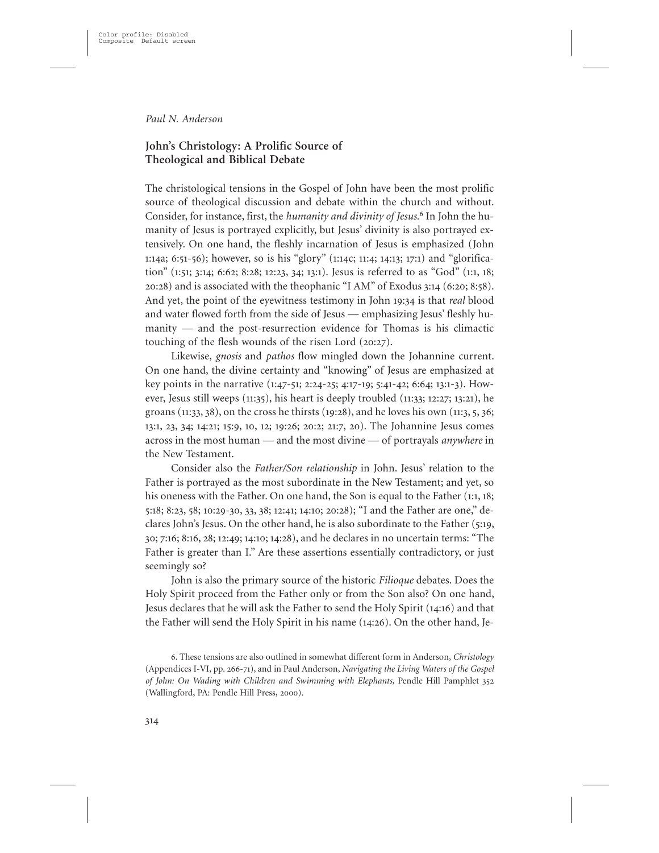#### **John's Christology: A Prolific Source of Theological and Biblical Debate**

The christological tensions in the Gospel of John have been the most prolific source of theological discussion and debate within the church and without. Consider, for instance, first, the *humanity and divinity of Jesus.*6 In John the humanity of Jesus is portrayed explicitly, but Jesus' divinity is also portrayed extensively. On one hand, the fleshly incarnation of Jesus is emphasized (John 1:14a; 6:51-56); however, so is his "glory" (1:14c; 11:4; 14:13; 17:1) and "glorification" (1:51; 3:14; 6:62; 8:28; 12:23, 34; 13:1). Jesus is referred to as "God" (1:1, 18; 20:28) and is associated with the theophanic "I AM" of Exodus 3:14 (6:20; 8:58). And yet, the point of the eyewitness testimony in John 19:34 is that *real* blood and water flowed forth from the side of Jesus — emphasizing Jesus' fleshly humanity — and the post-resurrection evidence for Thomas is his climactic touching of the flesh wounds of the risen Lord (20:27).

Likewise, *gnosis* and *pathos* flow mingled down the Johannine current. On one hand, the divine certainty and "knowing" of Jesus are emphasized at key points in the narrative (1:47-51; 2:24-25; 4:17-19; 5:41-42; 6:64; 13:1-3). However, Jesus still weeps (11:35), his heart is deeply troubled (11:33; 12:27; 13:21), he groans (11:33, 38), on the cross he thirsts (19:28), and he loves his own (11:3, 5, 36; 13:1, 23, 34; 14:21; 15:9, 10, 12; 19:26; 20:2; 21:7, 20). The Johannine Jesus comes across in the most human — and the most divine — of portrayals *anywhere* in the New Testament.

Consider also the *Father/Son relationship* in John. Jesus' relation to the Father is portrayed as the most subordinate in the New Testament; and yet, so his oneness with the Father. On one hand, the Son is equal to the Father (1:1, 18; 5:18; 8:23, 58; 10:29-30, 33, 38; 12:41; 14:10; 20:28); "I and the Father are one," declares John's Jesus. On the other hand, he is also subordinate to the Father (5:19, 30; 7:16; 8:16, 28; 12:49; 14:10; 14:28), and he declares in no uncertain terms: "The Father is greater than I." Are these assertions essentially contradictory, or just seemingly so?

John is also the primary source of the historic *Filioque* debates. Does the Holy Spirit proceed from the Father only or from the Son also? On one hand, Jesus declares that he will ask the Father to send the Holy Spirit (14:16) and that the Father will send the Holy Spirit in his name (14:26). On the other hand, Je-

6. These tensions are also outlined in somewhat different form in Anderson, *Christology* (Appendices I-VI, pp. 266-71), and in Paul Anderson, *Navigating the Living Waters of the Gospel of John: On Wading with Children and Swimming with Elephants,* Pendle Hill Pamphlet 352 (Wallingford, PA: Pendle Hill Press, 2000).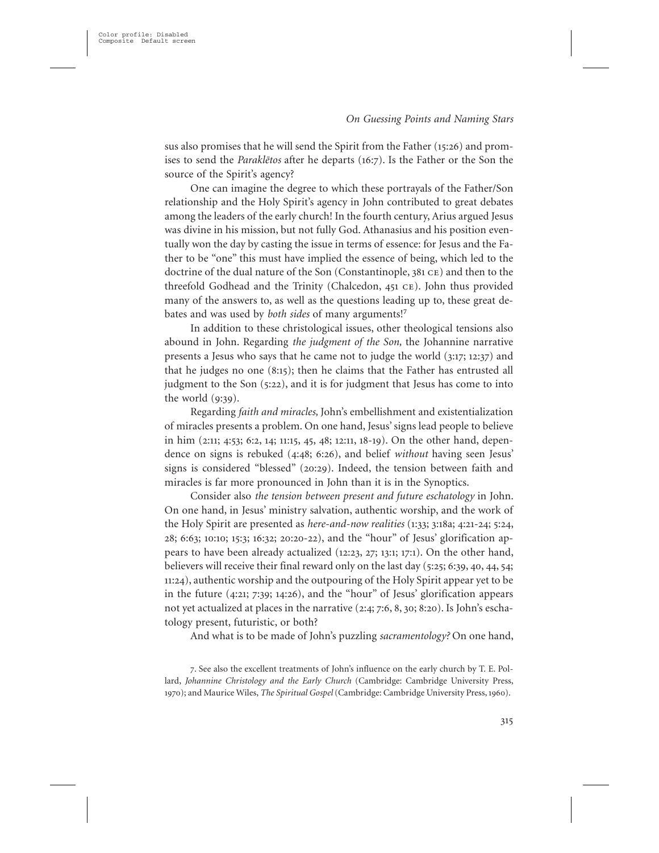sus also promises that he will send the Spirit from the Father (15:26) and promises to send the *Paraklētos* after he departs (16:7). Is the Father or the Son the source of the Spirit's agency?

One can imagine the degree to which these portrayals of the Father/Son relationship and the Holy Spirit's agency in John contributed to great debates among the leaders of the early church! In the fourth century, Arius argued Jesus was divine in his mission, but not fully God. Athanasius and his position eventually won the day by casting the issue in terms of essence: for Jesus and the Father to be "one" this must have implied the essence of being, which led to the doctrine of the dual nature of the Son (Constantinople, 381 ce) and then to the threefold Godhead and the Trinity (Chalcedon, 451 ce). John thus provided many of the answers to, as well as the questions leading up to, these great debates and was used by *both sides* of many arguments!7

In addition to these christological issues, other theological tensions also abound in John. Regarding *the judgment of the Son,* the Johannine narrative presents a Jesus who says that he came not to judge the world (3:17; 12:37) and that he judges no one (8:15); then he claims that the Father has entrusted all judgment to the Son (5:22), and it is for judgment that Jesus has come to into the world (9:39).

Regarding *faith and miracles,* John's embellishment and existentialization of miracles presents a problem. On one hand, Jesus' signs lead people to believe in him (2:11; 4:53; 6:2, 14; 11:15, 45, 48; 12:11, 18-19). On the other hand, dependence on signs is rebuked (4:48; 6:26), and belief *without* having seen Jesus' signs is considered "blessed" (20:29). Indeed, the tension between faith and miracles is far more pronounced in John than it is in the Synoptics.

Consider also *the tension between present and future eschatology* in John. On one hand, in Jesus' ministry salvation, authentic worship, and the work of the Holy Spirit are presented as *here-and-now realities* (1:33; 3:18a; 4:21-24; 5:24, 28; 6:63; 10:10; 15:3; 16:32; 20:20-22), and the "hour" of Jesus' glorification appears to have been already actualized (12:23, 27; 13:1; 17:1). On the other hand, believers will receive their final reward only on the last day (5:25; 6:39, 40, 44, 54; 11:24), authentic worship and the outpouring of the Holy Spirit appear yet to be in the future (4:21; 7:39; 14:26), and the "hour" of Jesus' glorification appears not yet actualized at places in the narrative (2:4; 7:6, 8, 30; 8:20). Is John's eschatology present, futuristic, or both?

And what is to be made of John's puzzling *sacramentology?* On one hand,

7. See also the excellent treatments of John's influence on the early church by T. E. Pollard, *Johannine Christology and the Early Church* (Cambridge: Cambridge University Press, 1970); and Maurice Wiles, *The Spiritual Gospel* (Cambridge: Cambridge University Press, 1960).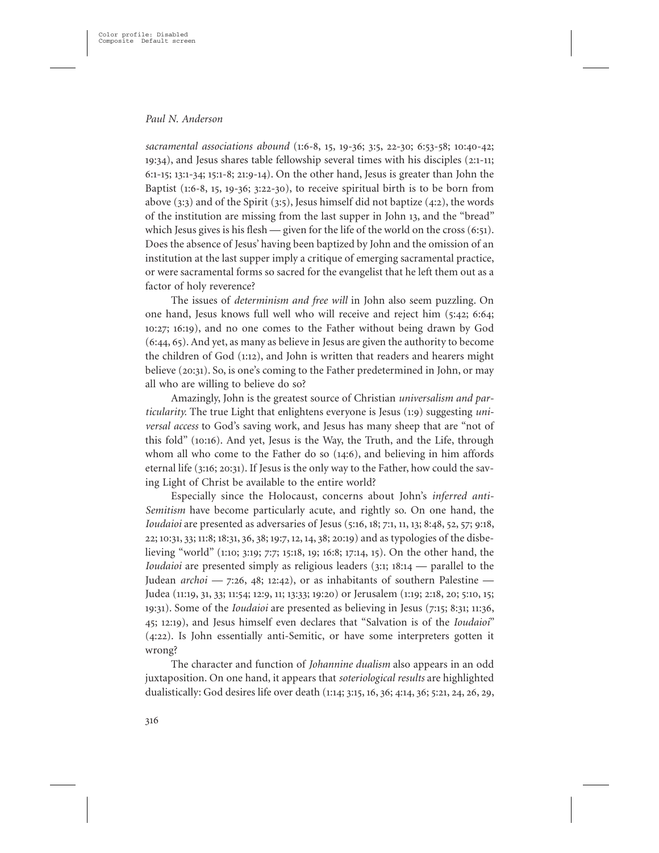*sacramental associations abound* (1:6-8, 15, 19-36; 3:5, 22-30; 6:53-58; 10:40-42; 19:34), and Jesus shares table fellowship several times with his disciples (2:1-11; 6:1-15; 13:1-34; 15:1-8; 21:9-14). On the other hand, Jesus is greater than John the Baptist (1:6-8, 15, 19-36; 3:22-30), to receive spiritual birth is to be born from above (3:3) and of the Spirit (3:5), Jesus himself did not baptize (4:2), the words of the institution are missing from the last supper in John 13, and the "bread" which Jesus gives is his flesh — given for the life of the world on the cross (6:51). Does the absence of Jesus' having been baptized by John and the omission of an institution at the last supper imply a critique of emerging sacramental practice, or were sacramental forms so sacred for the evangelist that he left them out as a factor of holy reverence?

The issues of *determinism and free will* in John also seem puzzling. On one hand, Jesus knows full well who will receive and reject him (5:42; 6:64; 10:27; 16:19), and no one comes to the Father without being drawn by God (6:44, 65). And yet, as many as believe in Jesus are given the authority to become the children of God (1:12), and John is written that readers and hearers might believe (20:31). So, is one's coming to the Father predetermined in John, or may all who are willing to believe do so?

Amazingly, John is the greatest source of Christian *universalism and particularity.* The true Light that enlightens everyone is Jesus (1:9) suggesting *universal access* to God's saving work, and Jesus has many sheep that are "not of this fold" (10:16). And yet, Jesus is the Way, the Truth, and the Life, through whom all who come to the Father do so (14:6), and believing in him affords eternal life (3:16; 20:31). If Jesus is the only way to the Father, how could the saving Light of Christ be available to the entire world?

Especially since the Holocaust, concerns about John's *inferred anti-Semitism* have become particularly acute, and rightly so. On one hand, the *Ioudaioi* are presented as adversaries of Jesus (5:16, 18; 7:1, 11, 13; 8:48, 52, 57; 9:18, 22; 10:31, 33; 11:8; 18:31, 36, 38; 19:7, 12, 14, 38; 20:19) and as typologies of the disbelieving "world" (1:10; 3:19; 7:7; 15:18, 19; 16:8; 17:14, 15). On the other hand, the *Ioudaioi* are presented simply as religious leaders (3:1; 18:14 — parallel to the Judean *archoi —* 7:26, 48; 12:42), or as inhabitants of southern Palestine — Judea (11:19, 31, 33; 11:54; 12:9, 11; 13:33; 19:20) or Jerusalem (1:19; 2:18, 20; 5:10, 15; 19:31). Some of the *Ioudaioi* are presented as believing in Jesus (7:15; 8:31; 11:36, 45; 12:19), and Jesus himself even declares that "Salvation is of the *Ioudaioi*" (4:22). Is John essentially anti-Semitic, or have some interpreters gotten it wrong?

The character and function of *Johannine dualism* also appears in an odd juxtaposition. On one hand, it appears that *soteriological results* are highlighted dualistically: God desires life over death (1:14; 3:15, 16, 36; 4:14, 36; 5:21, 24, 26, 29,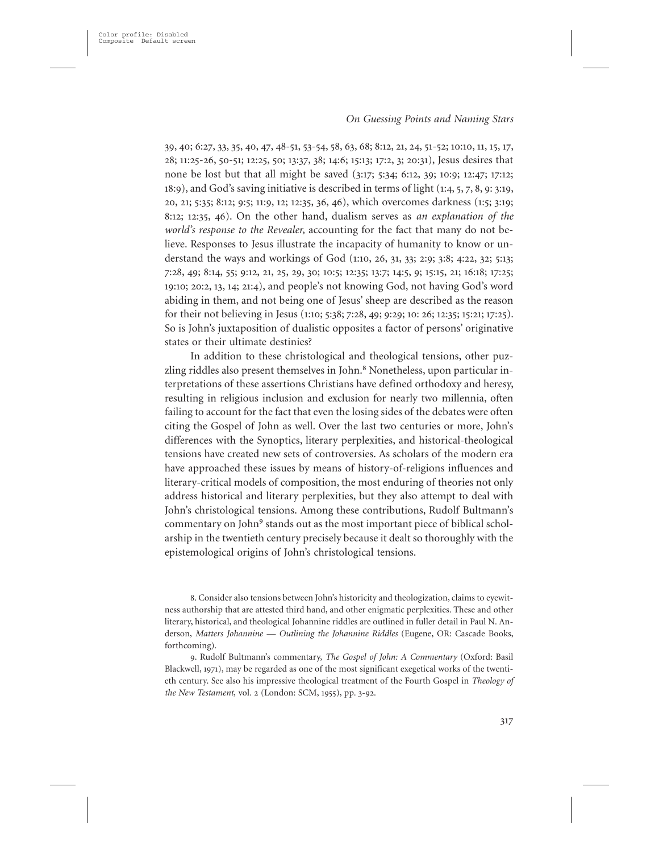39, 40; 6:27, 33, 35, 40, 47, 48-51, 53-54, 58, 63, 68; 8:12, 21, 24, 51-52; 10:10, 11, 15, 17, 28; 11:25-26, 50-51; 12:25, 50; 13:37, 38; 14:6; 15:13; 17:2, 3; 20:31), Jesus desires that none be lost but that all might be saved (3:17; 5:34; 6:12, 39; 10:9; 12:47; 17:12; 18:9), and God's saving initiative is described in terms of light (1:4, 5, 7, 8, 9: 3:19, 20, 21; 5:35; 8:12; 9:5; 11:9, 12; 12:35, 36, 46), which overcomes darkness (1:5; 3:19; 8:12; 12:35, 46). On the other hand, dualism serves as *an explanation of the world's response to the Revealer,* accounting for the fact that many do not believe. Responses to Jesus illustrate the incapacity of humanity to know or understand the ways and workings of God (1:10, 26, 31, 33; 2:9; 3:8; 4:22, 32; 5:13; 7:28, 49; 8:14, 55; 9:12, 21, 25, 29, 30; 10:5; 12:35; 13:7; 14:5, 9; 15:15, 21; 16:18; 17:25; 19:10; 20:2, 13, 14; 21:4), and people's not knowing God, not having God's word abiding in them, and not being one of Jesus' sheep are described as the reason for their not believing in Jesus (1:10; 5:38; 7:28, 49; 9:29; 10: 26; 12:35; 15:21; 17:25). So is John's juxtaposition of dualistic opposites a factor of persons' originative states or their ultimate destinies?

In addition to these christological and theological tensions, other puzzling riddles also present themselves in John.<sup>8</sup> Nonetheless, upon particular interpretations of these assertions Christians have defined orthodoxy and heresy, resulting in religious inclusion and exclusion for nearly two millennia, often failing to account for the fact that even the losing sides of the debates were often citing the Gospel of John as well. Over the last two centuries or more, John's differences with the Synoptics, literary perplexities, and historical-theological tensions have created new sets of controversies. As scholars of the modern era have approached these issues by means of history-of-religions influences and literary-critical models of composition, the most enduring of theories not only address historical and literary perplexities, but they also attempt to deal with John's christological tensions. Among these contributions, Rudolf Bultmann's commentary on John<sup>9</sup> stands out as the most important piece of biblical scholarship in the twentieth century precisely because it dealt so thoroughly with the epistemological origins of John's christological tensions.

8. Consider also tensions between John's historicity and theologization, claims to eyewitness authorship that are attested third hand, and other enigmatic perplexities. These and other literary, historical, and theological Johannine riddles are outlined in fuller detail in Paul N. Anderson, *Matters Johannine — Outlining the Johannine Riddles* (Eugene, OR: Cascade Books, forthcoming).

9. Rudolf Bultmann's commentary, *The Gospel of John: A Commentary* (Oxford: Basil Blackwell, 1971), may be regarded as one of the most significant exegetical works of the twentieth century. See also his impressive theological treatment of the Fourth Gospel in *Theology of the New Testament,* vol. 2 (London: SCM, 1955), pp. 3-92.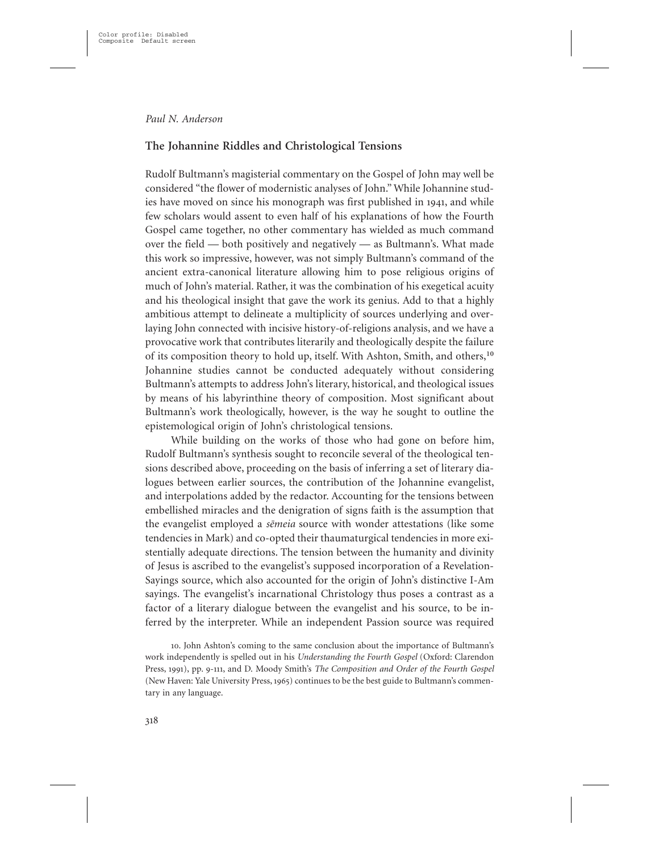#### **The Johannine Riddles and Christological Tensions**

Rudolf Bultmann's magisterial commentary on the Gospel of John may well be considered "the flower of modernistic analyses of John." While Johannine studies have moved on since his monograph was first published in 1941, and while few scholars would assent to even half of his explanations of how the Fourth Gospel came together, no other commentary has wielded as much command over the field — both positively and negatively — as Bultmann's. What made this work so impressive, however, was not simply Bultmann's command of the ancient extra-canonical literature allowing him to pose religious origins of much of John's material. Rather, it was the combination of his exegetical acuity and his theological insight that gave the work its genius. Add to that a highly ambitious attempt to delineate a multiplicity of sources underlying and overlaying John connected with incisive history-of-religions analysis, and we have a provocative work that contributes literarily and theologically despite the failure of its composition theory to hold up, itself. With Ashton, Smith, and others,<sup>10</sup> Johannine studies cannot be conducted adequately without considering Bultmann's attempts to address John's literary, historical, and theological issues by means of his labyrinthine theory of composition. Most significant about Bultmann's work theologically, however, is the way he sought to outline the epistemological origin of John's christological tensions.

While building on the works of those who had gone on before him, Rudolf Bultmann's synthesis sought to reconcile several of the theological tensions described above, proceeding on the basis of inferring a set of literary dialogues between earlier sources, the contribution of the Johannine evangelist, and interpolations added by the redactor. Accounting for the tensions between embellished miracles and the denigration of signs faith is the assumption that the evangelist employed a *sēmeia* source with wonder attestations (like some tendencies in Mark) and co-opted their thaumaturgical tendencies in more existentially adequate directions. The tension between the humanity and divinity of Jesus is ascribed to the evangelist's supposed incorporation of a Revelation-Sayings source, which also accounted for the origin of John's distinctive I-Am sayings. The evangelist's incarnational Christology thus poses a contrast as a factor of a literary dialogue between the evangelist and his source, to be inferred by the interpreter. While an independent Passion source was required

10. John Ashton's coming to the same conclusion about the importance of Bultmann's work independently is spelled out in his *Understanding the Fourth Gospel* (Oxford: Clarendon Press, 1991), pp. 9-111, and D. Moody Smith's *The Composition and Order of the Fourth Gospel* (New Haven: Yale University Press, 1965) continues to be the best guide to Bultmann's commentary in any language.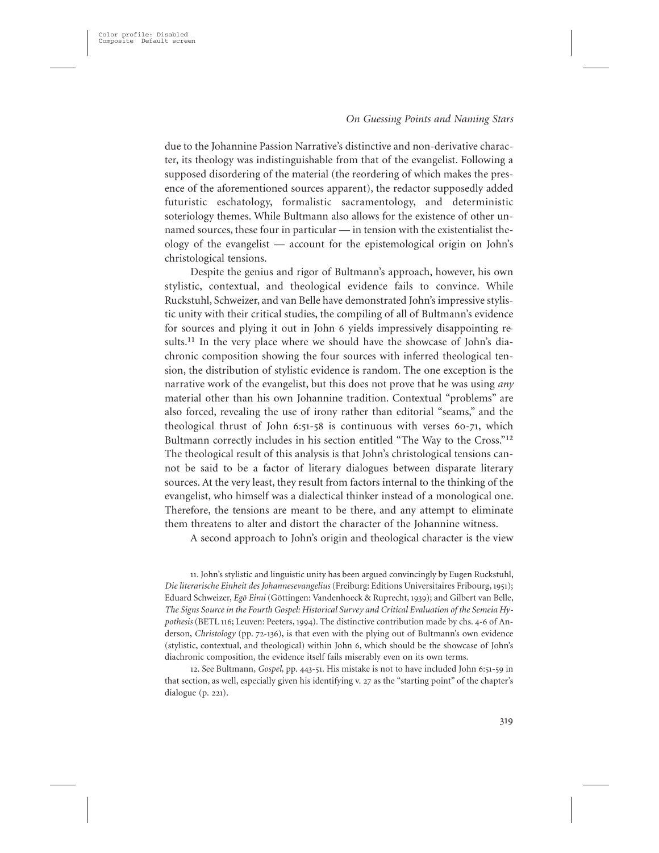due to the Johannine Passion Narrative's distinctive and non-derivative character, its theology was indistinguishable from that of the evangelist. Following a supposed disordering of the material (the reordering of which makes the presence of the aforementioned sources apparent), the redactor supposedly added futuristic eschatology, formalistic sacramentology, and deterministic soteriology themes. While Bultmann also allows for the existence of other unnamed sources, these four in particular — in tension with the existentialist theology of the evangelist — account for the epistemological origin on John's christological tensions.

Despite the genius and rigor of Bultmann's approach, however, his own stylistic, contextual, and theological evidence fails to convince. While Ruckstuhl, Schweizer, and van Belle have demonstrated John's impressive stylistic unity with their critical studies, the compiling of all of Bultmann's evidence for sources and plying it out in John 6 yields impressively disappointing results.<sup>11</sup> In the very place where we should have the showcase of John's diachronic composition showing the four sources with inferred theological tension, the distribution of stylistic evidence is random. The one exception is the narrative work of the evangelist, but this does not prove that he was using *any* material other than his own Johannine tradition. Contextual "problems" are also forced, revealing the use of irony rather than editorial "seams," and the theological thrust of John 6:51-58 is continuous with verses 60-71, which Bultmann correctly includes in his section entitled "The Way to the Cross."12 The theological result of this analysis is that John's christological tensions cannot be said to be a factor of literary dialogues between disparate literary sources. At the very least, they result from factors internal to the thinking of the evangelist, who himself was a dialectical thinker instead of a monological one. Therefore, the tensions are meant to be there, and any attempt to eliminate them threatens to alter and distort the character of the Johannine witness.

A second approach to John's origin and theological character is the view

11. John's stylistic and linguistic unity has been argued convincingly by Eugen Ruckstuhl, *Die literarische Einheit des Johannesevangelius* (Freiburg: Editions Universitaires Fribourg, 1951); Eduard Schweizer, *EgZ Eimi* (Göttingen: Vandenhoeck & Ruprecht, 1939); and Gilbert van Belle, *The Signs Source in the Fourth Gospel: Historical Survey and Critical Evaluation of the Semeia Hypothesis* (BETL 116; Leuven: Peeters, 1994). The distinctive contribution made by chs. 4-6 of Anderson, *Christology* (pp. 72-136), is that even with the plying out of Bultmann's own evidence (stylistic, contextual, and theological) within John 6, which should be the showcase of John's diachronic composition, the evidence itself fails miserably even on its own terms.

12. See Bultmann, *Gospel,* pp. 443-51. His mistake is not to have included John 6:51-59 in that section, as well, especially given his identifying v. 27 as the "starting point" of the chapter's dialogue (p. 221).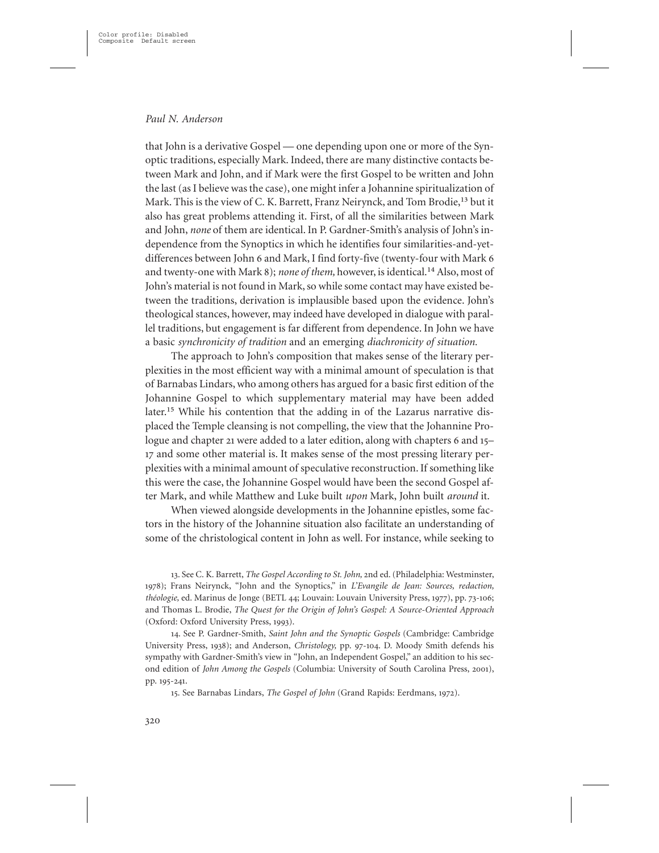#### *Paul N. Anderson*

that John is a derivative Gospel — one depending upon one or more of the Synoptic traditions, especially Mark. Indeed, there are many distinctive contacts between Mark and John, and if Mark were the first Gospel to be written and John the last (as I believe was the case), one might infer a Johannine spiritualization of Mark. This is the view of C. K. Barrett, Franz Neirynck, and Tom Brodie,<sup>13</sup> but it also has great problems attending it. First, of all the similarities between Mark and John, *none* of them are identical. In P. Gardner-Smith's analysis of John's independence from the Synoptics in which he identifies four similarities-and-yetdifferences between John 6 and Mark, I find forty-five (twenty-four with Mark 6 and twenty-one with Mark 8); *none of them*, however, is identical.<sup>14</sup> Also, most of John's material is not found in Mark, so while some contact may have existed between the traditions, derivation is implausible based upon the evidence. John's theological stances, however, may indeed have developed in dialogue with parallel traditions, but engagement is far different from dependence. In John we have a basic *synchronicity of tradition* and an emerging *diachronicity of situation.*

The approach to John's composition that makes sense of the literary perplexities in the most efficient way with a minimal amount of speculation is that of Barnabas Lindars, who among others has argued for a basic first edition of the Johannine Gospel to which supplementary material may have been added later.15 While his contention that the adding in of the Lazarus narrative displaced the Temple cleansing is not compelling, the view that the Johannine Prologue and chapter 21 were added to a later edition, along with chapters 6 and 15– 17 and some other material is. It makes sense of the most pressing literary perplexities with a minimal amount of speculative reconstruction. If something like this were the case, the Johannine Gospel would have been the second Gospel after Mark, and while Matthew and Luke built *upon* Mark, John built *around* it.

When viewed alongside developments in the Johannine epistles, some factors in the history of the Johannine situation also facilitate an understanding of some of the christological content in John as well. For instance, while seeking to

13. See C. K. Barrett, *The Gospel According to St. John,* 2nd ed. (Philadelphia: Westminster, 1978); Frans Neirynck, "John and the Synoptics," in *L'Evangile de Jean: Sources, redaction, théologie,* ed. Marinus de Jonge (BETL 44; Louvain: Louvain University Press, 1977), pp. 73-106; and Thomas L. Brodie, *The Quest for the Origin of John's Gospel: A Source-Oriented Approach* (Oxford: Oxford University Press, 1993).

14. See P. Gardner-Smith, *Saint John and the Synoptic Gospels* (Cambridge: Cambridge University Press, 1938); and Anderson, *Christology,* pp. 97-104. D. Moody Smith defends his sympathy with Gardner-Smith's view in "John, an Independent Gospel," an addition to his second edition of *John Among the Gospels* (Columbia: University of South Carolina Press, 2001), pp. 195-241.

15. See Barnabas Lindars, *The Gospel of John* (Grand Rapids: Eerdmans, 1972).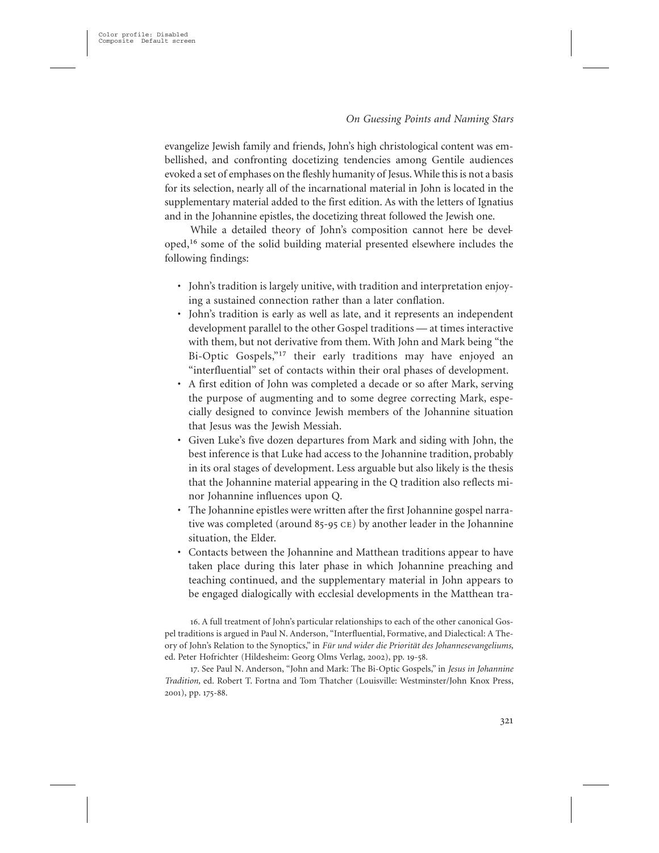evangelize Jewish family and friends, John's high christological content was embellished, and confronting docetizing tendencies among Gentile audiences evoked a set of emphases on the fleshly humanity of Jesus. While this is not a basis for its selection, nearly all of the incarnational material in John is located in the supplementary material added to the first edition. As with the letters of Ignatius and in the Johannine epistles, the docetizing threat followed the Jewish one.

While a detailed theory of John's composition cannot here be developed,16 some of the solid building material presented elsewhere includes the following findings:

- John's tradition is largely unitive, with tradition and interpretation enjoying a sustained connection rather than a later conflation.
- John's tradition is early as well as late, and it represents an independent development parallel to the other Gospel traditions — at times interactive with them, but not derivative from them. With John and Mark being "the Bi-Optic Gospels,"17 their early traditions may have enjoyed an "interfluential" set of contacts within their oral phases of development.
- A first edition of John was completed a decade or so after Mark, serving the purpose of augmenting and to some degree correcting Mark, especially designed to convince Jewish members of the Johannine situation that Jesus was the Jewish Messiah.
- Given Luke's five dozen departures from Mark and siding with John, the best inference is that Luke had access to the Johannine tradition, probably in its oral stages of development. Less arguable but also likely is the thesis that the Johannine material appearing in the Q tradition also reflects minor Johannine influences upon Q.
- The Johannine epistles were written after the first Johannine gospel narrative was completed (around 85-95 ce) by another leader in the Johannine situation, the Elder.
- Contacts between the Johannine and Matthean traditions appear to have taken place during this later phase in which Johannine preaching and teaching continued, and the supplementary material in John appears to be engaged dialogically with ecclesial developments in the Matthean tra-

16. A full treatment of John's particular relationships to each of the other canonical Gospel traditions is argued in Paul N. Anderson, "Interfluential, Formative, and Dialectical: A Theory of John's Relation to the Synoptics," in *Für und wider die Priorität des Johannesevangeliums,* ed. Peter Hofrichter (Hildesheim: Georg Olms Verlag, 2002), pp. 19-58.

17. See Paul N. Anderson, "John and Mark: The Bi-Optic Gospels," in *Jesus in Johannine Tradition,* ed. Robert T. Fortna and Tom Thatcher (Louisville: Westminster/John Knox Press, 2001), pp. 175-88.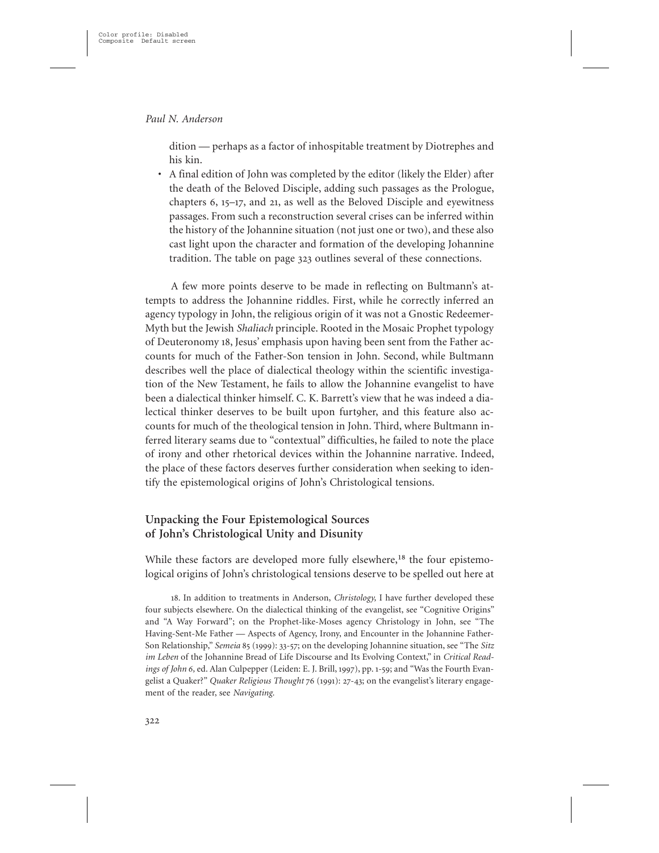dition — perhaps as a factor of inhospitable treatment by Diotrephes and his kin.

• A final edition of John was completed by the editor (likely the Elder) after the death of the Beloved Disciple, adding such passages as the Prologue, chapters 6, 15–17, and 21, as well as the Beloved Disciple and eyewitness passages. From such a reconstruction several crises can be inferred within the history of the Johannine situation (not just one or two), and these also cast light upon the character and formation of the developing Johannine tradition. The table on page 323 outlines several of these connections.

A few more points deserve to be made in reflecting on Bultmann's attempts to address the Johannine riddles. First, while he correctly inferred an agency typology in John, the religious origin of it was not a Gnostic Redeemer-Myth but the Jewish *Shaliach* principle. Rooted in the Mosaic Prophet typology of Deuteronomy 18, Jesus' emphasis upon having been sent from the Father accounts for much of the Father-Son tension in John. Second, while Bultmann describes well the place of dialectical theology within the scientific investigation of the New Testament, he fails to allow the Johannine evangelist to have been a dialectical thinker himself. C. K. Barrett's view that he was indeed a dialectical thinker deserves to be built upon furt9her, and this feature also accounts for much of the theological tension in John. Third, where Bultmann inferred literary seams due to "contextual" difficulties, he failed to note the place of irony and other rhetorical devices within the Johannine narrative. Indeed, the place of these factors deserves further consideration when seeking to identify the epistemological origins of John's Christological tensions.

## **Unpacking the Four Epistemological Sources of John's Christological Unity and Disunity**

While these factors are developed more fully elsewhere,<sup>18</sup> the four epistemological origins of John's christological tensions deserve to be spelled out here at

18. In addition to treatments in Anderson, *Christology,* I have further developed these four subjects elsewhere. On the dialectical thinking of the evangelist, see "Cognitive Origins" and "A Way Forward"; on the Prophet-like-Moses agency Christology in John, see "The Having-Sent-Me Father — Aspects of Agency, Irony, and Encounter in the Johannine Father-Son Relationship," *Semeia* 85 (1999): 33-57; on the developing Johannine situation, see "The *Sitz* im Leben of the Johannine Bread of Life Discourse and Its Evolving Context," in *Critical Readings of John 6,* ed. Alan Culpepper (Leiden: E. J. Brill, 1997), pp. 1-59; and "Was the Fourth Evangelist a Quaker?" *Quaker Religious Thought* 76 (1991): 27-43; on the evangelist's literary engagement of the reader, see *Navigating.*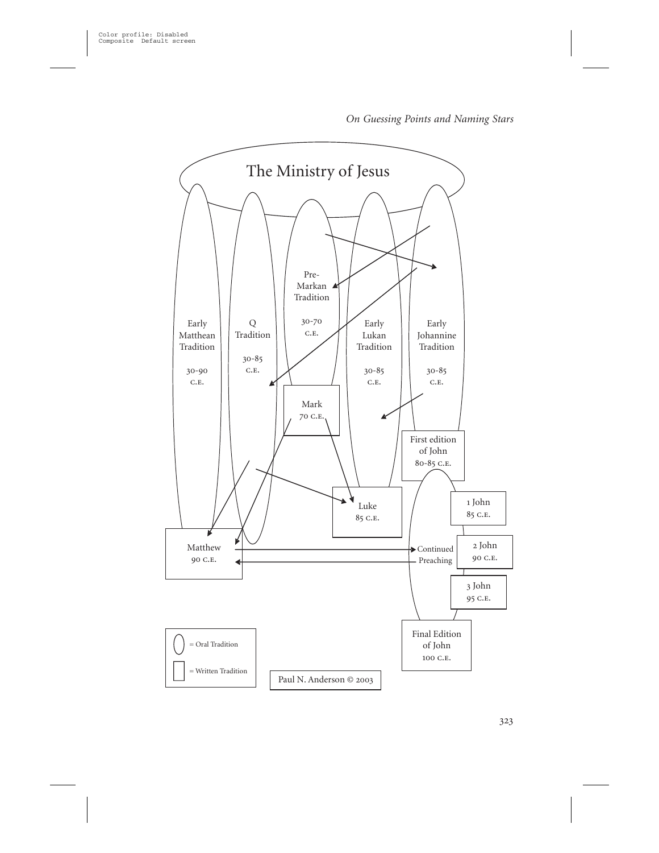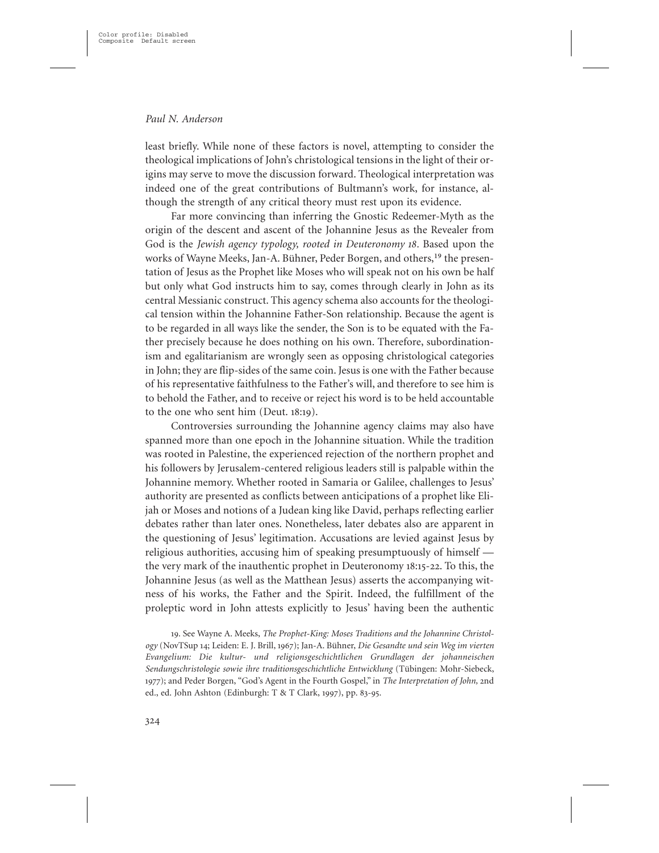least briefly. While none of these factors is novel, attempting to consider the theological implications of John's christological tensions in the light of their origins may serve to move the discussion forward. Theological interpretation was indeed one of the great contributions of Bultmann's work, for instance, although the strength of any critical theory must rest upon its evidence.

Far more convincing than inferring the Gnostic Redeemer-Myth as the origin of the descent and ascent of the Johannine Jesus as the Revealer from God is the *Jewish agency typology, rooted in Deuteronomy 18.* Based upon the works of Wayne Meeks, Jan-A. Bühner, Peder Borgen, and others,<sup>19</sup> the presentation of Jesus as the Prophet like Moses who will speak not on his own be half but only what God instructs him to say, comes through clearly in John as its central Messianic construct. This agency schema also accounts for the theological tension within the Johannine Father-Son relationship. Because the agent is to be regarded in all ways like the sender, the Son is to be equated with the Father precisely because he does nothing on his own. Therefore, subordinationism and egalitarianism are wrongly seen as opposing christological categories in John; they are flip-sides of the same coin. Jesus is one with the Father because of his representative faithfulness to the Father's will, and therefore to see him is to behold the Father, and to receive or reject his word is to be held accountable to the one who sent him (Deut. 18:19).

Controversies surrounding the Johannine agency claims may also have spanned more than one epoch in the Johannine situation. While the tradition was rooted in Palestine, the experienced rejection of the northern prophet and his followers by Jerusalem-centered religious leaders still is palpable within the Johannine memory. Whether rooted in Samaria or Galilee, challenges to Jesus' authority are presented as conflicts between anticipations of a prophet like Elijah or Moses and notions of a Judean king like David, perhaps reflecting earlier debates rather than later ones. Nonetheless, later debates also are apparent in the questioning of Jesus' legitimation. Accusations are levied against Jesus by religious authorities, accusing him of speaking presumptuously of himself the very mark of the inauthentic prophet in Deuteronomy 18:15-22. To this, the Johannine Jesus (as well as the Matthean Jesus) asserts the accompanying witness of his works, the Father and the Spirit. Indeed, the fulfillment of the proleptic word in John attests explicitly to Jesus' having been the authentic

19. See Wayne A. Meeks, *The Prophet-King: Moses Traditions and the Johannine Christology* (NovTSup 14; Leiden: E. J. Brill, 1967); Jan-A. Bühner, *Die Gesandte und sein Weg im vierten Evangelium: Die kultur- und religionsgeschichtlichen Grundlagen der johanneischen Sendungschristologie sowie ihre traditionsgeschichtliche Entwicklung* (Tübingen: Mohr-Siebeck, 1977); and Peder Borgen, "God's Agent in the Fourth Gospel," in *The Interpretation of John,* 2nd ed., ed. John Ashton (Edinburgh: T & T Clark, 1997), pp. 83-95.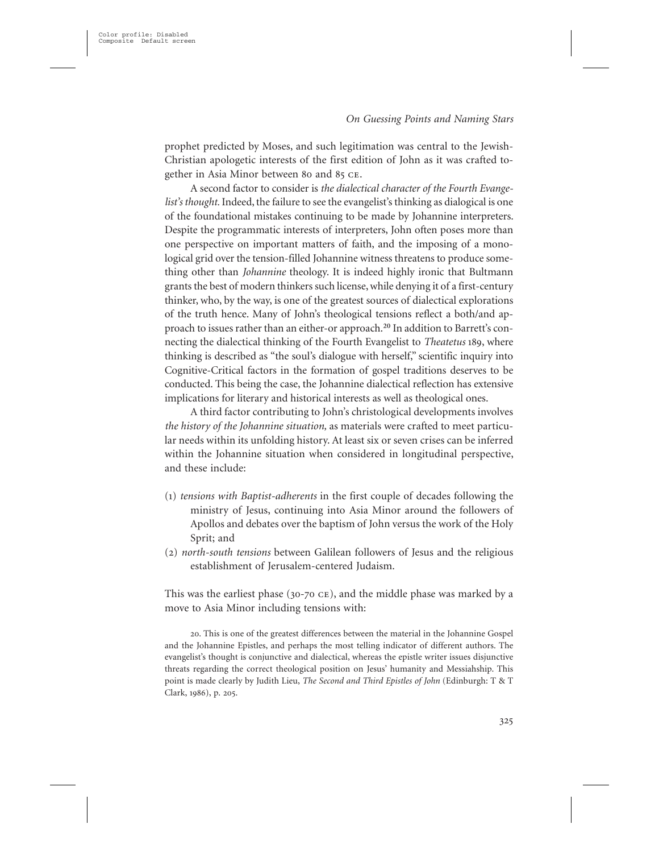prophet predicted by Moses, and such legitimation was central to the Jewish-Christian apologetic interests of the first edition of John as it was crafted together in Asia Minor between 80 and 85 ce.

A second factor to consider is *the dialectical character of the Fourth Evange*list's thought. Indeed, the failure to see the evangelist's thinking as dialogical is one of the foundational mistakes continuing to be made by Johannine interpreters. Despite the programmatic interests of interpreters, John often poses more than one perspective on important matters of faith, and the imposing of a monological grid over the tension-filled Johannine witness threatens to produce something other than *Johannine* theology. It is indeed highly ironic that Bultmann grants the best of modern thinkers such license, while denying it of a first-century thinker, who, by the way, is one of the greatest sources of dialectical explorations of the truth hence. Many of John's theological tensions reflect a both/and approach to issues rather than an either-or approach.20 In addition to Barrett's connecting the dialectical thinking of the Fourth Evangelist to *Theatetus* 189, where thinking is described as "the soul's dialogue with herself," scientific inquiry into Cognitive-Critical factors in the formation of gospel traditions deserves to be conducted. This being the case, the Johannine dialectical reflection has extensive implications for literary and historical interests as well as theological ones.

A third factor contributing to John's christological developments involves *the history of the Johannine situation,* as materials were crafted to meet particular needs within its unfolding history. At least six or seven crises can be inferred within the Johannine situation when considered in longitudinal perspective, and these include:

- (1) *tensions with Baptist-adherents* in the first couple of decades following the ministry of Jesus, continuing into Asia Minor around the followers of Apollos and debates over the baptism of John versus the work of the Holy Sprit; and
- (2) *north-south tensions* between Galilean followers of Jesus and the religious establishment of Jerusalem-centered Judaism.

This was the earliest phase (30-70 ce), and the middle phase was marked by a move to Asia Minor including tensions with:

20. This is one of the greatest differences between the material in the Johannine Gospel and the Johannine Epistles, and perhaps the most telling indicator of different authors. The evangelist's thought is conjunctive and dialectical, whereas the epistle writer issues disjunctive threats regarding the correct theological position on Jesus' humanity and Messiahship. This point is made clearly by Judith Lieu, *The Second and Third Epistles of John* (Edinburgh: T & T Clark, 1986), p. 205.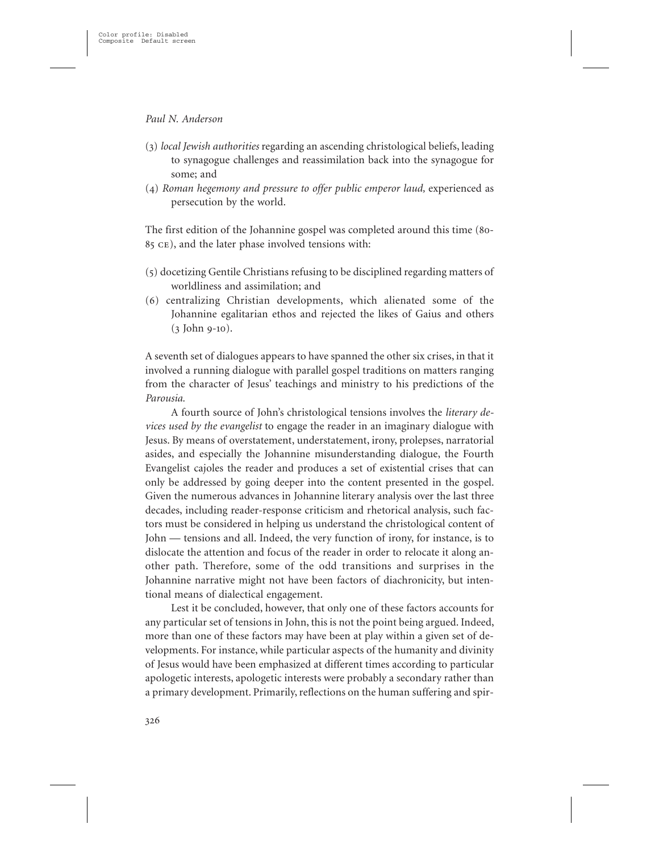- (3) *local Jewish authorities* regarding an ascending christological beliefs, leading to synagogue challenges and reassimilation back into the synagogue for some; and
- (4) *Roman hegemony and pressure to offer public emperor laud,* experienced as persecution by the world.

The first edition of the Johannine gospel was completed around this time (80- 85 ce), and the later phase involved tensions with:

- (5) docetizing Gentile Christians refusing to be disciplined regarding matters of worldliness and assimilation; and
- (6) centralizing Christian developments, which alienated some of the Johannine egalitarian ethos and rejected the likes of Gaius and others (3 John 9-10).

A seventh set of dialogues appears to have spanned the other six crises, in that it involved a running dialogue with parallel gospel traditions on matters ranging from the character of Jesus' teachings and ministry to his predictions of the *Parousia.*

A fourth source of John's christological tensions involves the *literary devices used by the evangelist* to engage the reader in an imaginary dialogue with Jesus. By means of overstatement, understatement, irony, prolepses, narratorial asides, and especially the Johannine misunderstanding dialogue, the Fourth Evangelist cajoles the reader and produces a set of existential crises that can only be addressed by going deeper into the content presented in the gospel. Given the numerous advances in Johannine literary analysis over the last three decades, including reader-response criticism and rhetorical analysis, such factors must be considered in helping us understand the christological content of John — tensions and all. Indeed, the very function of irony, for instance, is to dislocate the attention and focus of the reader in order to relocate it along another path. Therefore, some of the odd transitions and surprises in the Johannine narrative might not have been factors of diachronicity, but intentional means of dialectical engagement.

Lest it be concluded, however, that only one of these factors accounts for any particular set of tensions in John, this is not the point being argued. Indeed, more than one of these factors may have been at play within a given set of developments. For instance, while particular aspects of the humanity and divinity of Jesus would have been emphasized at different times according to particular apologetic interests, apologetic interests were probably a secondary rather than a primary development. Primarily, reflections on the human suffering and spir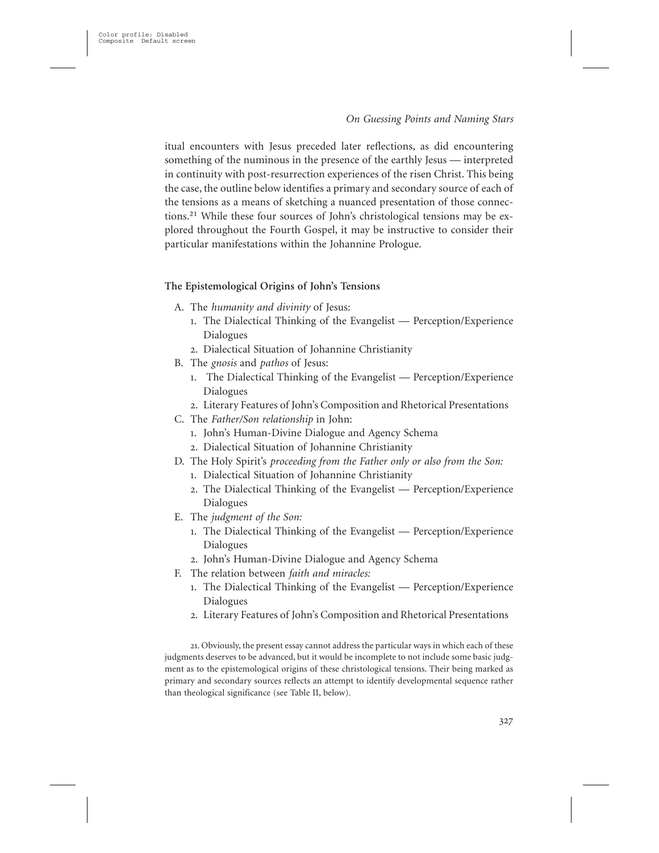itual encounters with Jesus preceded later reflections, as did encountering something of the numinous in the presence of the earthly Jesus — interpreted in continuity with post-resurrection experiences of the risen Christ. This being the case, the outline below identifies a primary and secondary source of each of the tensions as a means of sketching a nuanced presentation of those connections.21 While these four sources of John's christological tensions may be explored throughout the Fourth Gospel, it may be instructive to consider their particular manifestations within the Johannine Prologue.

#### **The Epistemological Origins of John's Tensions**

- A. The *humanity and divinity* of Jesus:
	- 1. The Dialectical Thinking of the Evangelist Perception/Experience Dialogues
	- 2. Dialectical Situation of Johannine Christianity
- B. The *gnosis* and *pathos* of Jesus:
	- 1. The Dialectical Thinking of the Evangelist Perception/Experience Dialogues
	- 2. Literary Features of John's Composition and Rhetorical Presentations
- C. The *Father/Son relationship* in John:
	- 1. John's Human-Divine Dialogue and Agency Schema
	- 2. Dialectical Situation of Johannine Christianity
- D. The Holy Spirit's *proceeding from the Father only or also from the Son:*
	- 1. Dialectical Situation of Johannine Christianity
	- 2. The Dialectical Thinking of the Evangelist Perception/Experience Dialogues
- E. The *judgment of the Son:*
	- 1. The Dialectical Thinking of the Evangelist Perception/Experience Dialogues
	- 2. John's Human-Divine Dialogue and Agency Schema
- F. The relation between *faith and miracles:*
	- 1. The Dialectical Thinking of the Evangelist Perception/Experience Dialogues
	- 2. Literary Features of John's Composition and Rhetorical Presentations

21. Obviously, the present essay cannot address the particular ways in which each of these judgments deserves to be advanced, but it would be incomplete to not include some basic judgment as to the epistemological origins of these christological tensions. Their being marked as primary and secondary sources reflects an attempt to identify developmental sequence rather than theological significance (see Table II, below).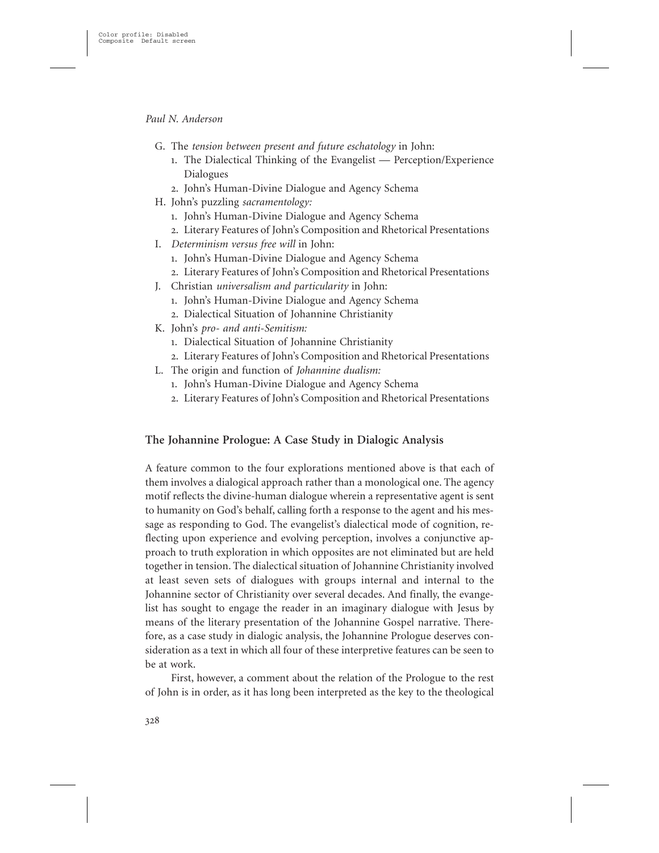- G. The *tension between present and future eschatology* in John:
	- 1. The Dialectical Thinking of the Evangelist Perception/Experience Dialogues
	- 2. John's Human-Divine Dialogue and Agency Schema
- H. John's puzzling *sacramentology:*
	- 1. John's Human-Divine Dialogue and Agency Schema
	- 2. Literary Features of John's Composition and Rhetorical Presentations
- I. *Determinism versus free will* in John:
	- 1. John's Human-Divine Dialogue and Agency Schema
	- 2. Literary Features of John's Composition and Rhetorical Presentations
- J. Christian *universalism and particularity* in John:
	- 1. John's Human-Divine Dialogue and Agency Schema
	- 2. Dialectical Situation of Johannine Christianity
- K. John's *pro- and anti-Semitism:*
	- 1. Dialectical Situation of Johannine Christianity
	- 2. Literary Features of John's Composition and Rhetorical Presentations
- L. The origin and function of *Johannine dualism:*
	- 1. John's Human-Divine Dialogue and Agency Schema
	- 2. Literary Features of John's Composition and Rhetorical Presentations

## **The Johannine Prologue: A Case Study in Dialogic Analysis**

A feature common to the four explorations mentioned above is that each of them involves a dialogical approach rather than a monological one. The agency motif reflects the divine-human dialogue wherein a representative agent is sent to humanity on God's behalf, calling forth a response to the agent and his message as responding to God. The evangelist's dialectical mode of cognition, reflecting upon experience and evolving perception, involves a conjunctive approach to truth exploration in which opposites are not eliminated but are held together in tension. The dialectical situation of Johannine Christianity involved at least seven sets of dialogues with groups internal and internal to the Johannine sector of Christianity over several decades. And finally, the evangelist has sought to engage the reader in an imaginary dialogue with Jesus by means of the literary presentation of the Johannine Gospel narrative. Therefore, as a case study in dialogic analysis, the Johannine Prologue deserves consideration as a text in which all four of these interpretive features can be seen to be at work.

First, however, a comment about the relation of the Prologue to the rest of John is in order, as it has long been interpreted as the key to the theological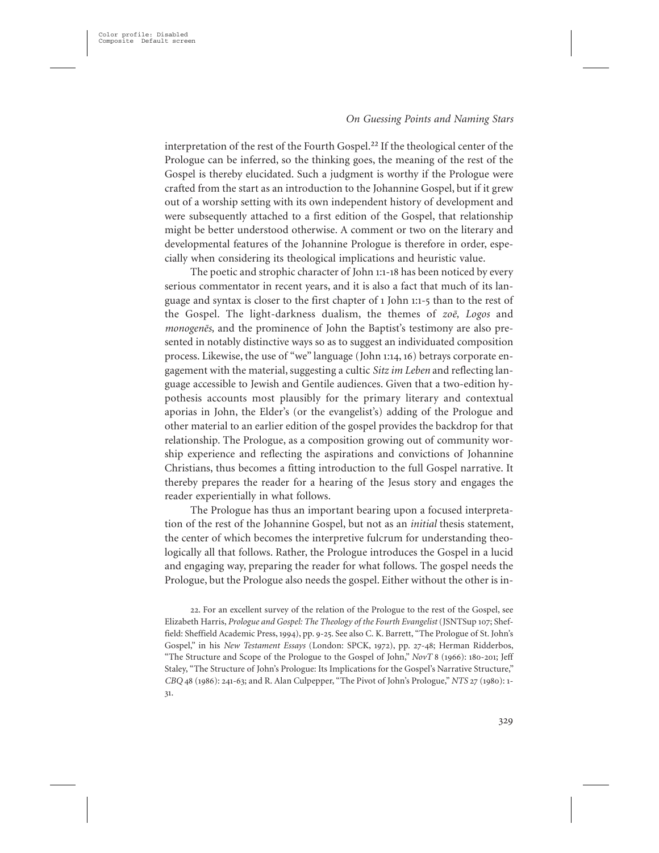interpretation of the rest of the Fourth Gospel.<sup>22</sup> If the theological center of the Prologue can be inferred, so the thinking goes, the meaning of the rest of the Gospel is thereby elucidated. Such a judgment is worthy if the Prologue were crafted from the start as an introduction to the Johannine Gospel, but if it grew out of a worship setting with its own independent history of development and were subsequently attached to a first edition of the Gospel, that relationship might be better understood otherwise. A comment or two on the literary and developmental features of the Johannine Prologue is therefore in order, especially when considering its theological implications and heuristic value.

The poetic and strophic character of John 1:1-18 has been noticed by every serious commentator in recent years, and it is also a fact that much of its language and syntax is closer to the first chapter of 1 John 1:1-5 than to the rest of the Gospel. The light-darkness dualism, the themes of *zo3, Logos* and *monogen3s,* and the prominence of John the Baptist's testimony are also presented in notably distinctive ways so as to suggest an individuated composition process. Likewise, the use of "we" language (John 1:14, 16) betrays corporate engagement with the material, suggesting a cultic *Sitz im Leben* and reflecting language accessible to Jewish and Gentile audiences. Given that a two-edition hypothesis accounts most plausibly for the primary literary and contextual aporias in John, the Elder's (or the evangelist's) adding of the Prologue and other material to an earlier edition of the gospel provides the backdrop for that relationship. The Prologue, as a composition growing out of community worship experience and reflecting the aspirations and convictions of Johannine Christians, thus becomes a fitting introduction to the full Gospel narrative. It thereby prepares the reader for a hearing of the Jesus story and engages the reader experientially in what follows.

The Prologue has thus an important bearing upon a focused interpretation of the rest of the Johannine Gospel, but not as an *initial* thesis statement, the center of which becomes the interpretive fulcrum for understanding theologically all that follows. Rather, the Prologue introduces the Gospel in a lucid and engaging way, preparing the reader for what follows. The gospel needs the Prologue, but the Prologue also needs the gospel. Either without the other is in-

22. For an excellent survey of the relation of the Prologue to the rest of the Gospel, see Elizabeth Harris, *Prologue and Gospel: The Theology of the Fourth Evangelist* (JSNTSup 107; Sheffield: Sheffield Academic Press, 1994), pp. 9-25. See also C. K. Barrett, "The Prologue of St. John's Gospel," in his *New Testament Essays* (London: SPCK, 1972), pp. 27-48; Herman Ridderbos, "The Structure and Scope of the Prologue to the Gospel of John," *NovT* 8 (1966): 180-201; Jeff Staley, "The Structure of John's Prologue: Its Implications for the Gospel's Narrative Structure," *CBQ* 48 (1986): 241-63; and R. Alan Culpepper, "The Pivot of John's Prologue," *NTS* 27 (1980): 1- 31.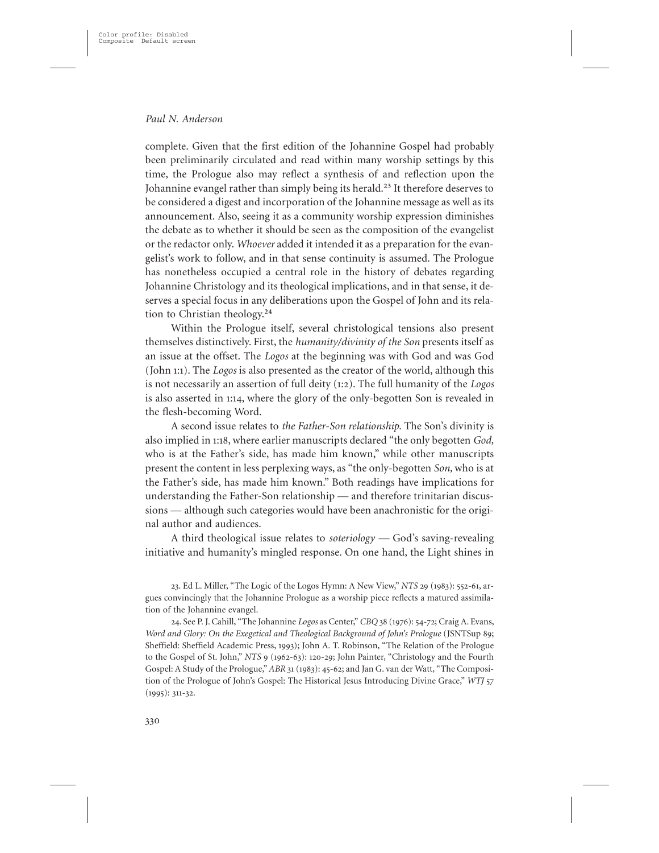complete. Given that the first edition of the Johannine Gospel had probably been preliminarily circulated and read within many worship settings by this time, the Prologue also may reflect a synthesis of and reflection upon the Johannine evangel rather than simply being its herald.23 It therefore deserves to be considered a digest and incorporation of the Johannine message as well as its announcement. Also, seeing it as a community worship expression diminishes the debate as to whether it should be seen as the composition of the evangelist or the redactor only. *Whoever* added it intended it as a preparation for the evangelist's work to follow, and in that sense continuity is assumed. The Prologue has nonetheless occupied a central role in the history of debates regarding Johannine Christology and its theological implications, and in that sense, it deserves a special focus in any deliberations upon the Gospel of John and its relation to Christian theology.24

Within the Prologue itself, several christological tensions also present themselves distinctively. First, the *humanity/divinity of the Son* presents itself as an issue at the offset. The *Logos* at the beginning was with God and was God (John 1:1). The *Logos* is also presented as the creator of the world, although this is not necessarily an assertion of full deity (1:2). The full humanity of the *Logos* is also asserted in 1:14, where the glory of the only-begotten Son is revealed in the flesh-becoming Word.

A second issue relates to *the Father-Son relationship.* The Son's divinity is also implied in 1:18, where earlier manuscripts declared "the only begotten *God,* who is at the Father's side, has made him known," while other manuscripts present the content in less perplexing ways, as "the only-begotten *Son,* who is at the Father's side, has made him known." Both readings have implications for understanding the Father-Son relationship — and therefore trinitarian discussions — although such categories would have been anachronistic for the original author and audiences.

A third theological issue relates to *soteriology —* God's saving-revealing initiative and humanity's mingled response. On one hand, the Light shines in

23. Ed L. Miller, "The Logic of the Logos Hymn: A New View," *NTS* 29 (1983): 552-61, argues convincingly that the Johannine Prologue as a worship piece reflects a matured assimilation of the Johannine evangel.

24. See P. J. Cahill, "The Johannine *Logos* as Center,"*CBQ* 38 (1976): 54-72; Craig A. Evans, *Word and Glory: On the Exegetical and Theological Background of John's Prologue* (JSNTSup 89; Sheffield: Sheffield Academic Press, 1993); John A. T. Robinson, "The Relation of the Prologue to the Gospel of St. John," *NTS* 9 (1962-63): 120-29; John Painter, "Christology and the Fourth Gospel: A Study of the Prologue,"*ABR* 31 (1983): 45-62; and Jan G. van der Watt, "The Composition of the Prologue of John's Gospel: The Historical Jesus Introducing Divine Grace," *WTJ* 57 (1995): 311-32.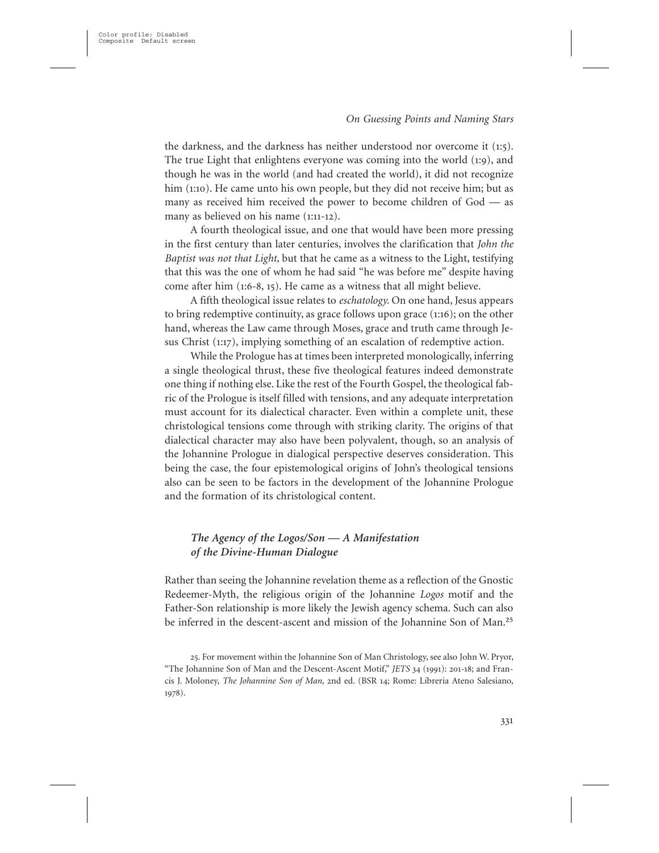the darkness, and the darkness has neither understood nor overcome it (1:5). The true Light that enlightens everyone was coming into the world (1:9), and though he was in the world (and had created the world), it did not recognize him (1:10). He came unto his own people, but they did not receive him; but as many as received him received the power to become children of God — as many as believed on his name (1:11-12).

A fourth theological issue, and one that would have been more pressing in the first century than later centuries, involves the clarification that *John the Baptist was not that Light,* but that he came as a witness to the Light, testifying that this was the one of whom he had said "he was before me" despite having come after him (1:6-8, 15). He came as a witness that all might believe.

A fifth theological issue relates to *eschatology.* On one hand, Jesus appears to bring redemptive continuity, as grace follows upon grace (1:16); on the other hand, whereas the Law came through Moses, grace and truth came through Jesus Christ (1:17), implying something of an escalation of redemptive action.

While the Prologue has at times been interpreted monologically, inferring a single theological thrust, these five theological features indeed demonstrate one thing if nothing else. Like the rest of the Fourth Gospel, the theological fabric of the Prologue is itself filled with tensions, and any adequate interpretation must account for its dialectical character. Even within a complete unit, these christological tensions come through with striking clarity. The origins of that dialectical character may also have been polyvalent, though, so an analysis of the Johannine Prologue in dialogical perspective deserves consideration. This being the case, the four epistemological origins of John's theological tensions also can be seen to be factors in the development of the Johannine Prologue and the formation of its christological content.

#### *The Agency of the Logos/Son—AManifestation of the Divine-Human Dialogue*

Rather than seeing the Johannine revelation theme as a reflection of the Gnostic Redeemer-Myth, the religious origin of the Johannine *Logos* motif and the Father-Son relationship is more likely the Jewish agency schema. Such can also be inferred in the descent-ascent and mission of the Johannine Son of Man.25

<sup>25.</sup> For movement within the Johannine Son of Man Christology, see also John W. Pryor, "The Johannine Son of Man and the Descent-Ascent Motif," *JETS* 34 (1991): 201-18; and Francis J. Moloney, *The Johannine Son of Man,* 2nd ed. (BSR 14; Rome: Libreria Ateno Salesiano, 1978).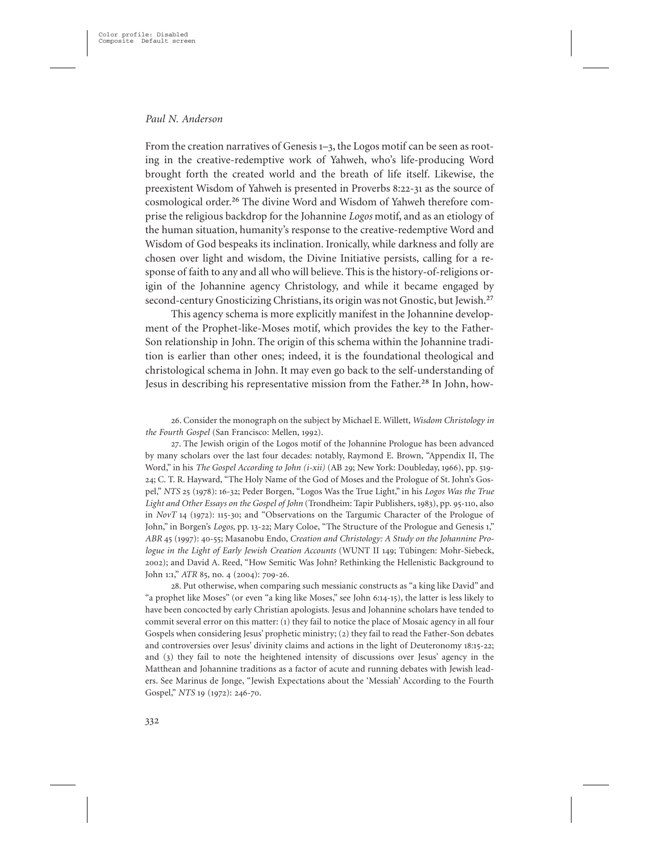#### *Paul N. Anderson*

From the creation narratives of Genesis 1–3, the Logos motif can be seen as rooting in the creative-redemptive work of Yahweh, who's life-producing Word brought forth the created world and the breath of life itself. Likewise, the preexistent Wisdom of Yahweh is presented in Proverbs 8:22-31 as the source of cosmological order.26 The divine Word and Wisdom of Yahweh therefore comprise the religious backdrop for the Johannine *Logos* motif, and as an etiology of the human situation, humanity's response to the creative-redemptive Word and Wisdom of God bespeaks its inclination. Ironically, while darkness and folly are chosen over light and wisdom, the Divine Initiative persists, calling for a response of faith to any and all who will believe. This is the history-of-religions origin of the Johannine agency Christology, and while it became engaged by second-century Gnosticizing Christians, its origin was not Gnostic, but Jewish.27

This agency schema is more explicitly manifest in the Johannine development of the Prophet-like-Moses motif, which provides the key to the Father-Son relationship in John. The origin of this schema within the Johannine tradition is earlier than other ones; indeed, it is the foundational theological and christological schema in John. It may even go back to the self-understanding of Jesus in describing his representative mission from the Father.<sup>28</sup> In John, how-

26. Consider the monograph on the subject by Michael E. Willett, *Wisdom Christology in the Fourth Gospel* (San Francisco: Mellen, 1992).

27. The Jewish origin of the Logos motif of the Johannine Prologue has been advanced by many scholars over the last four decades: notably, Raymond E. Brown, "Appendix II, The Word," in his *The Gospel According to John (i-xii)* (AB 29; New York: Doubleday, 1966), pp. 519- 24; C. T. R. Hayward, "The Holy Name of the God of Moses and the Prologue of St. John's Gospel," *NTS* 25 (1978): 16-32; Peder Borgen, "Logos Was the True Light," in his *Logos Was the True Light and Other Essays on the Gospel of John* (Trondheim: Tapir Publishers, 1983), pp. 95-110, also in *NovT* 14 (1972): 115-30; and "Observations on the Targumic Character of the Prologue of John," in Borgen's *Logos,* pp. 13-22; Mary Coloe, "The Structure of the Prologue and Genesis 1," *ABR* 45 (1997): 40-55; Masanobu Endo, *Creation and Christology: A Study on the Johannine Prologue in the Light of Early Jewish Creation Accounts* (WUNT II 149; Tübingen: Mohr-Siebeck, 2002); and David A. Reed, "How Semitic Was John? Rethinking the Hellenistic Background to John 1:1," *ATR* 85, no. 4 (2004): 709-26.

28. Put otherwise, when comparing such messianic constructs as "a king like David" and "a prophet like Moses" (or even "a king like Moses," see John 6:14-15), the latter is less likely to have been concocted by early Christian apologists. Jesus and Johannine scholars have tended to commit several error on this matter: (1) they fail to notice the place of Mosaic agency in all four Gospels when considering Jesus' prophetic ministry; (2) they fail to read the Father-Son debates and controversies over Jesus' divinity claims and actions in the light of Deuteronomy 18:15-22; and (3) they fail to note the heightened intensity of discussions over Jesus' agency in the Matthean and Johannine traditions as a factor of acute and running debates with Jewish leaders. See Marinus de Jonge, "Jewish Expectations about the 'Messiah' According to the Fourth Gospel," *NTS* 19 (1972): 246-70.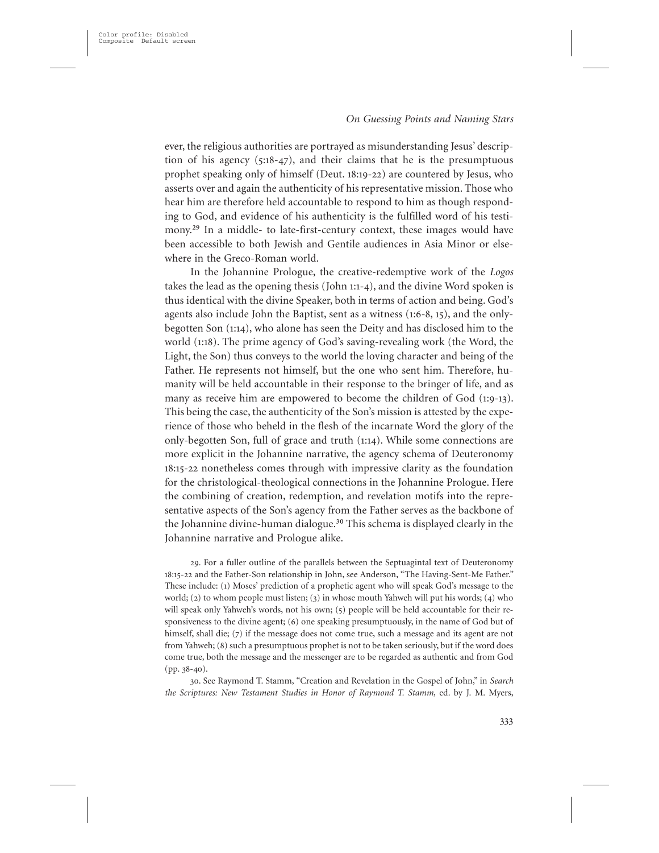ever, the religious authorities are portrayed as misunderstanding Jesus' description of his agency (5:18-47), and their claims that he is the presumptuous prophet speaking only of himself (Deut. 18:19-22) are countered by Jesus, who asserts over and again the authenticity of his representative mission. Those who hear him are therefore held accountable to respond to him as though responding to God, and evidence of his authenticity is the fulfilled word of his testimony.29 In a middle- to late-first-century context, these images would have been accessible to both Jewish and Gentile audiences in Asia Minor or elsewhere in the Greco-Roman world.

In the Johannine Prologue, the creative-redemptive work of the *Logos* takes the lead as the opening thesis (John 1:1-4), and the divine Word spoken is thus identical with the divine Speaker, both in terms of action and being. God's agents also include John the Baptist, sent as a witness (1:6-8, 15), and the onlybegotten Son (1:14), who alone has seen the Deity and has disclosed him to the world (1:18). The prime agency of God's saving-revealing work (the Word, the Light, the Son) thus conveys to the world the loving character and being of the Father. He represents not himself, but the one who sent him. Therefore, humanity will be held accountable in their response to the bringer of life, and as many as receive him are empowered to become the children of God (1:9-13). This being the case, the authenticity of the Son's mission is attested by the experience of those who beheld in the flesh of the incarnate Word the glory of the only-begotten Son, full of grace and truth (1:14). While some connections are more explicit in the Johannine narrative, the agency schema of Deuteronomy 18:15-22 nonetheless comes through with impressive clarity as the foundation for the christological-theological connections in the Johannine Prologue. Here the combining of creation, redemption, and revelation motifs into the representative aspects of the Son's agency from the Father serves as the backbone of the Johannine divine-human dialogue.<sup>30</sup> This schema is displayed clearly in the Johannine narrative and Prologue alike.

29. For a fuller outline of the parallels between the Septuagintal text of Deuteronomy 18:15-22 and the Father-Son relationship in John, see Anderson, "The Having-Sent-Me Father." These include: (1) Moses' prediction of a prophetic agent who will speak God's message to the world; (2) to whom people must listen; (3) in whose mouth Yahweh will put his words; (4) who will speak only Yahweh's words, not his own; (5) people will be held accountable for their responsiveness to the divine agent; (6) one speaking presumptuously, in the name of God but of himself, shall die; (7) if the message does not come true, such a message and its agent are not from Yahweh; (8) such a presumptuous prophet is not to be taken seriously, but if the word does come true, both the message and the messenger are to be regarded as authentic and from God (pp. 38-40).

30. See Raymond T. Stamm, "Creation and Revelation in the Gospel of John," in *Search the Scriptures: New Testament Studies in Honor of Raymond T. Stamm,* ed. by J. M. Myers,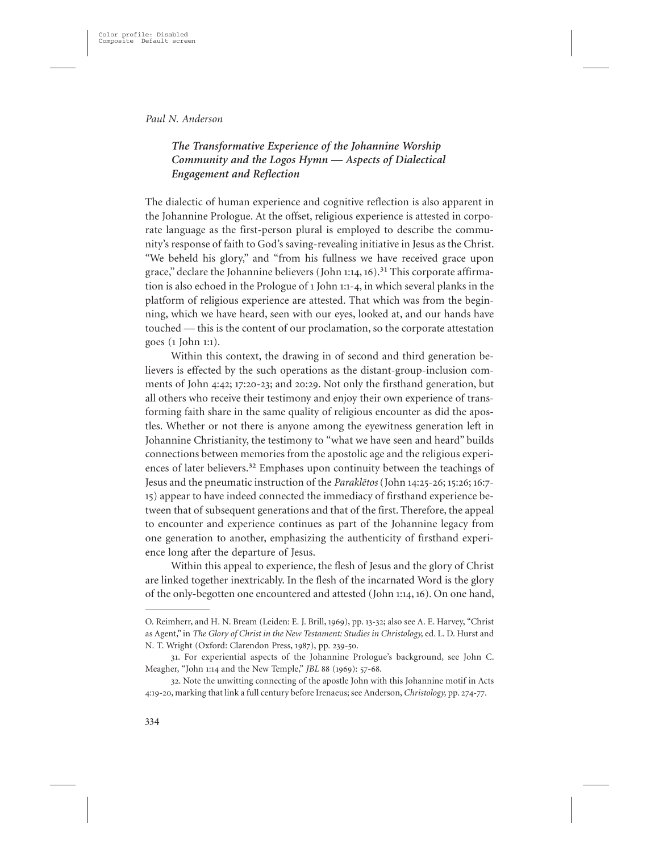*The Transformative Experience of the Johannine Worship Community and the Logos Hymn — Aspects of Dialectical Engagement and Reflection*

The dialectic of human experience and cognitive reflection is also apparent in the Johannine Prologue. At the offset, religious experience is attested in corporate language as the first-person plural is employed to describe the community's response of faith to God's saving-revealing initiative in Jesus as the Christ. "We beheld his glory," and "from his fullness we have received grace upon grace," declare the Johannine believers (John 1:14, 16).<sup>31</sup> This corporate affirmation is also echoed in the Prologue of 1 John 1:1-4, in which several planks in the platform of religious experience are attested. That which was from the beginning, which we have heard, seen with our eyes, looked at, and our hands have touched — this is the content of our proclamation, so the corporate attestation goes (1 John 1:1).

Within this context, the drawing in of second and third generation believers is effected by the such operations as the distant-group-inclusion comments of John 4:42; 17:20-23; and 20:29. Not only the firsthand generation, but all others who receive their testimony and enjoy their own experience of transforming faith share in the same quality of religious encounter as did the apostles. Whether or not there is anyone among the eyewitness generation left in Johannine Christianity, the testimony to "what we have seen and heard" builds connections between memories from the apostolic age and the religious experiences of later believers.<sup>32</sup> Emphases upon continuity between the teachings of Jesus and the pneumatic instruction of the *Paraklētos* (John 14:25-26; 15:26; 16:7-15) appear to have indeed connected the immediacy of firsthand experience between that of subsequent generations and that of the first. Therefore, the appeal to encounter and experience continues as part of the Johannine legacy from one generation to another, emphasizing the authenticity of firsthand experience long after the departure of Jesus.

Within this appeal to experience, the flesh of Jesus and the glory of Christ are linked together inextricably. In the flesh of the incarnated Word is the glory of the only-begotten one encountered and attested (John 1:14, 16). On one hand,

32. Note the unwitting connecting of the apostle John with this Johannine motif in Acts 4:19-20, marking that link a full century before Irenaeus; see Anderson, *Christology,* pp. 274-77.

O. Reimherr, and H. N. Bream (Leiden: E. J. Brill, 1969), pp. 13-32; also see A. E. Harvey, "Christ as Agent," in *The Glory of Christ in the New Testament: Studies in Christology,* ed. L. D. Hurst and N. T. Wright (Oxford: Clarendon Press, 1987), pp. 239-50.

<sup>31.</sup> For experiential aspects of the Johannine Prologue's background, see John C. Meagher, "John 1:14 and the New Temple," *JBL* 88 (1969): 57-68.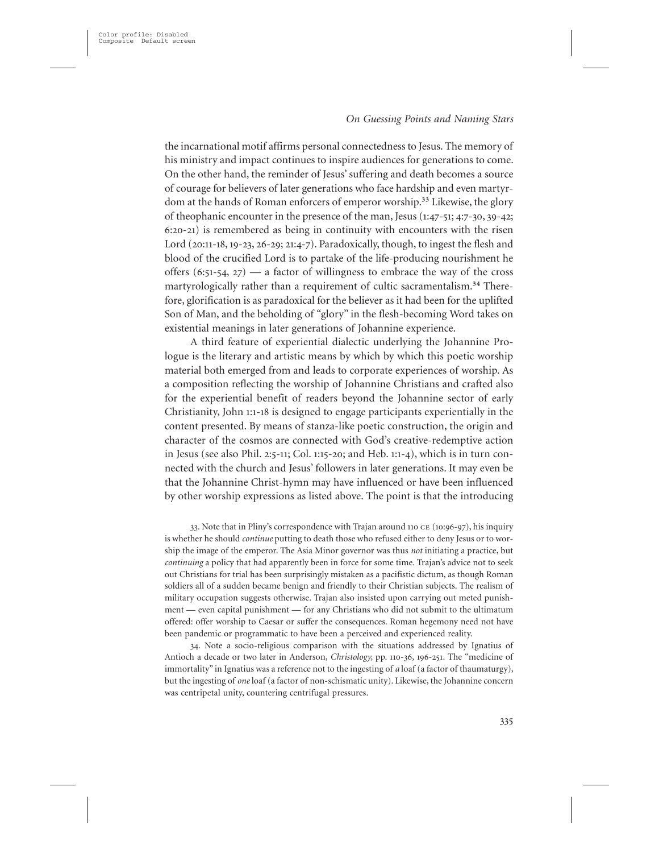the incarnational motif affirms personal connectedness to Jesus. The memory of his ministry and impact continues to inspire audiences for generations to come. On the other hand, the reminder of Jesus' suffering and death becomes a source of courage for believers of later generations who face hardship and even martyrdom at the hands of Roman enforcers of emperor worship.<sup>33</sup> Likewise, the glory of theophanic encounter in the presence of the man, Jesus (1:47-51; 4:7-30, 39-42; 6:20-21) is remembered as being in continuity with encounters with the risen Lord (20:11-18, 19-23, 26-29; 21:4-7). Paradoxically, though, to ingest the flesh and blood of the crucified Lord is to partake of the life-producing nourishment he offers  $(6:51-54, 27)$  — a factor of willingness to embrace the way of the cross martyrologically rather than a requirement of cultic sacramentalism.<sup>34</sup> Therefore, glorification is as paradoxical for the believer as it had been for the uplifted Son of Man, and the beholding of "glory" in the flesh-becoming Word takes on existential meanings in later generations of Johannine experience.

A third feature of experiential dialectic underlying the Johannine Prologue is the literary and artistic means by which by which this poetic worship material both emerged from and leads to corporate experiences of worship. As a composition reflecting the worship of Johannine Christians and crafted also for the experiential benefit of readers beyond the Johannine sector of early Christianity, John 1:1-18 is designed to engage participants experientially in the content presented. By means of stanza-like poetic construction, the origin and character of the cosmos are connected with God's creative-redemptive action in Jesus (see also Phil. 2:5-11; Col. 1:15-20; and Heb. 1:1-4), which is in turn connected with the church and Jesus' followers in later generations. It may even be that the Johannine Christ-hymn may have influenced or have been influenced by other worship expressions as listed above. The point is that the introducing

33. Note that in Pliny's correspondence with Trajan around 110 ce (10:96-97), his inquiry is whether he should *continue* putting to death those who refused either to deny Jesus or to worship the image of the emperor. The Asia Minor governor was thus *not* initiating a practice, but *continuing* a policy that had apparently been in force for some time. Trajan's advice not to seek out Christians for trial has been surprisingly mistaken as a pacifistic dictum, as though Roman soldiers all of a sudden became benign and friendly to their Christian subjects. The realism of military occupation suggests otherwise. Trajan also insisted upon carrying out meted punishment — even capital punishment — for any Christians who did not submit to the ultimatum offered: offer worship to Caesar or suffer the consequences. Roman hegemony need not have been pandemic or programmatic to have been a perceived and experienced reality.

34. Note a socio-religious comparison with the situations addressed by Ignatius of Antioch a decade or two later in Anderson, *Christology,* pp. 110-36, 196-251. The "medicine of immortality" in Ignatius was a reference not to the ingesting of *a* loaf (a factor of thaumaturgy), but the ingesting of *one* loaf (a factor of non-schismatic unity). Likewise, the Johannine concern was centripetal unity, countering centrifugal pressures.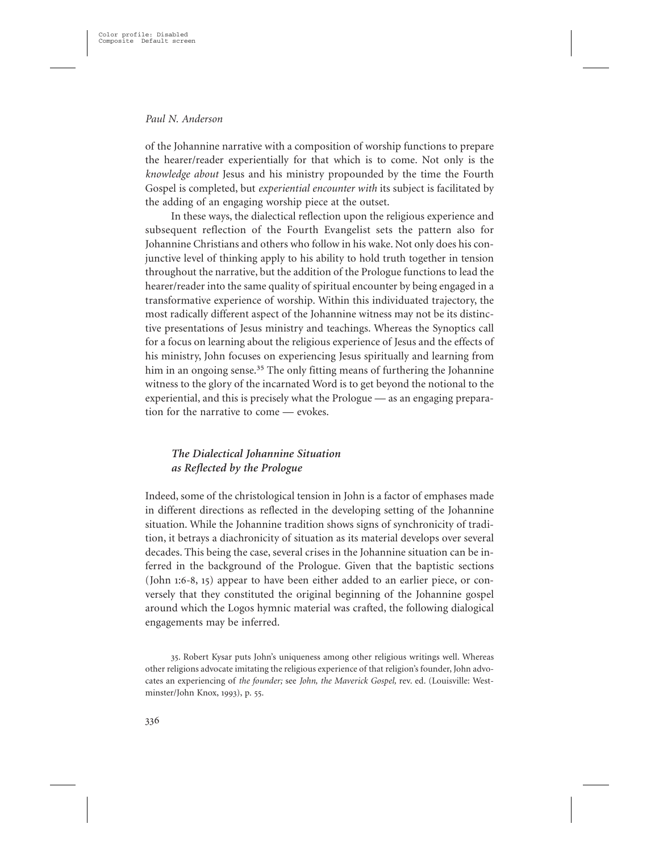of the Johannine narrative with a composition of worship functions to prepare the hearer/reader experientially for that which is to come. Not only is the *knowledge about* Jesus and his ministry propounded by the time the Fourth Gospel is completed, but *experiential encounter with* its subject is facilitated by the adding of an engaging worship piece at the outset.

In these ways, the dialectical reflection upon the religious experience and subsequent reflection of the Fourth Evangelist sets the pattern also for Johannine Christians and others who follow in his wake. Not only does his conjunctive level of thinking apply to his ability to hold truth together in tension throughout the narrative, but the addition of the Prologue functions to lead the hearer/reader into the same quality of spiritual encounter by being engaged in a transformative experience of worship. Within this individuated trajectory, the most radically different aspect of the Johannine witness may not be its distinctive presentations of Jesus ministry and teachings. Whereas the Synoptics call for a focus on learning about the religious experience of Jesus and the effects of his ministry, John focuses on experiencing Jesus spiritually and learning from him in an ongoing sense.<sup>35</sup> The only fitting means of furthering the Johannine witness to the glory of the incarnated Word is to get beyond the notional to the experiential, and this is precisely what the Prologue — as an engaging preparation for the narrative to come — evokes.

#### *The Dialectical Johannine Situation as Reflected by the Prologue*

Indeed, some of the christological tension in John is a factor of emphases made in different directions as reflected in the developing setting of the Johannine situation. While the Johannine tradition shows signs of synchronicity of tradition, it betrays a diachronicity of situation as its material develops over several decades. This being the case, several crises in the Johannine situation can be inferred in the background of the Prologue. Given that the baptistic sections (John 1:6-8, 15) appear to have been either added to an earlier piece, or conversely that they constituted the original beginning of the Johannine gospel around which the Logos hymnic material was crafted, the following dialogical engagements may be inferred.

35. Robert Kysar puts John's uniqueness among other religious writings well. Whereas other religions advocate imitating the religious experience of that religion's founder, John advocates an experiencing of *the founder;* see *John, the Maverick Gospel,* rev. ed. (Louisville: Westminster/John Knox, 1993), p. 55.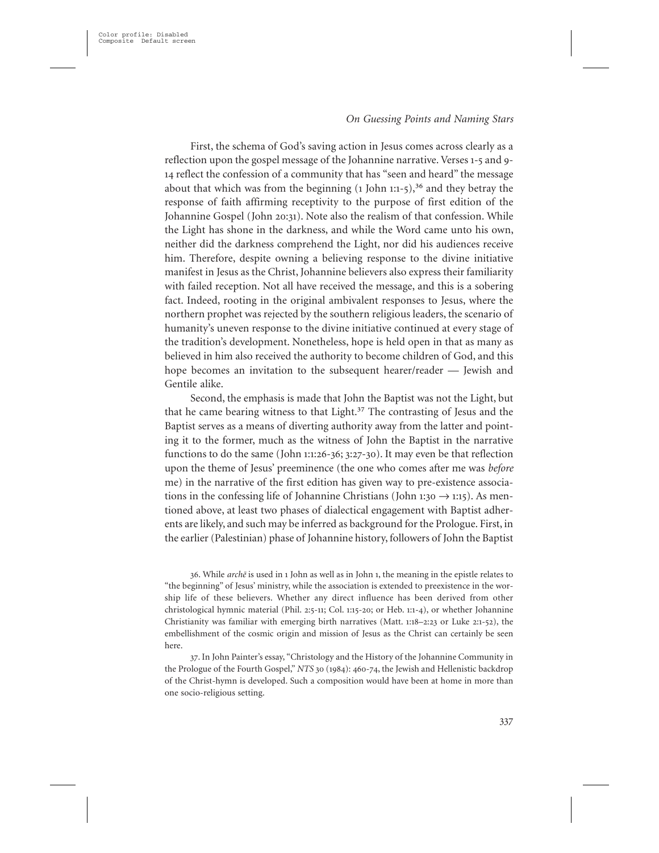First, the schema of God's saving action in Jesus comes across clearly as a reflection upon the gospel message of the Johannine narrative. Verses 1-5 and 9- 14 reflect the confession of a community that has "seen and heard" the message about that which was from the beginning  $(1$  John 1:1-5),<sup>36</sup> and they betray the response of faith affirming receptivity to the purpose of first edition of the Johannine Gospel (John 20:31). Note also the realism of that confession. While the Light has shone in the darkness, and while the Word came unto his own, neither did the darkness comprehend the Light, nor did his audiences receive him. Therefore, despite owning a believing response to the divine initiative manifest in Jesus as the Christ, Johannine believers also express their familiarity with failed reception. Not all have received the message, and this is a sobering fact. Indeed, rooting in the original ambivalent responses to Jesus, where the northern prophet was rejected by the southern religious leaders, the scenario of humanity's uneven response to the divine initiative continued at every stage of the tradition's development. Nonetheless, hope is held open in that as many as believed in him also received the authority to become children of God, and this hope becomes an invitation to the subsequent hearer/reader — Jewish and Gentile alike.

Second, the emphasis is made that John the Baptist was not the Light, but that he came bearing witness to that Light.37 The contrasting of Jesus and the Baptist serves as a means of diverting authority away from the latter and pointing it to the former, much as the witness of John the Baptist in the narrative functions to do the same (John 1:1:26-36; 3:27-30). It may even be that reflection upon the theme of Jesus' preeminence (the one who comes after me was *before* me) in the narrative of the first edition has given way to pre-existence associations in the confessing life of Johannine Christians (John 1:30  $\rightarrow$  1:15). As mentioned above, at least two phases of dialectical engagement with Baptist adherents are likely, and such may be inferred as background for the Prologue. First, in the earlier (Palestinian) phase of Johannine history, followers of John the Baptist

36. While *arch3* is used in 1 John as well as in John 1, the meaning in the epistle relates to "the beginning" of Jesus' ministry, while the association is extended to preexistence in the worship life of these believers. Whether any direct influence has been derived from other christological hymnic material (Phil. 2:5-11; Col. 1:15-20; or Heb. 1:1-4), or whether Johannine Christianity was familiar with emerging birth narratives (Matt. 1:18–2:23 or Luke 2:1-52), the embellishment of the cosmic origin and mission of Jesus as the Christ can certainly be seen here.

37. In John Painter's essay, "Christology and the History of the Johannine Community in the Prologue of the Fourth Gospel," *NTS* 30 (1984): 460-74, the Jewish and Hellenistic backdrop of the Christ-hymn is developed. Such a composition would have been at home in more than one socio-religious setting.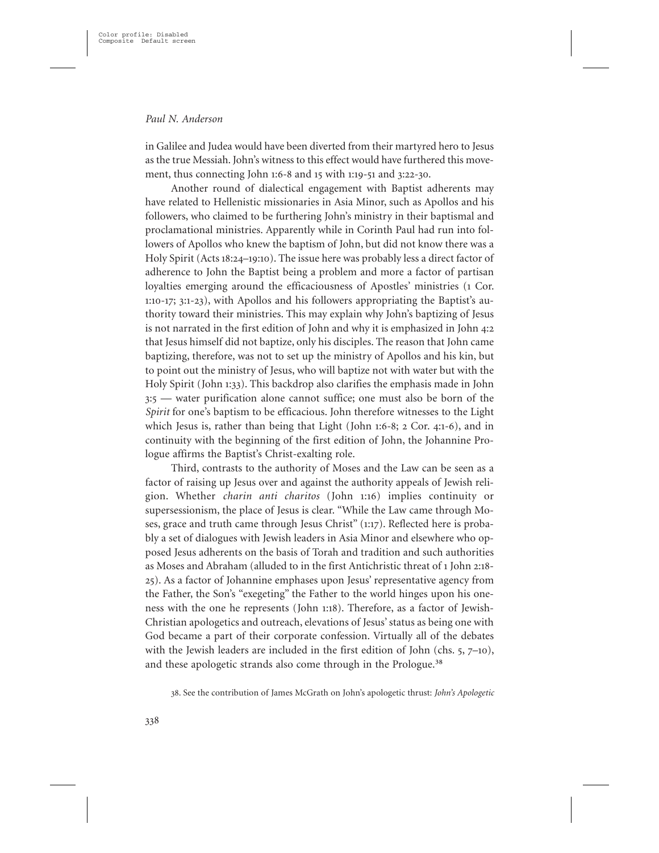in Galilee and Judea would have been diverted from their martyred hero to Jesus as the true Messiah. John's witness to this effect would have furthered this movement, thus connecting John 1:6-8 and 15 with 1:19-51 and 3:22-30.

Another round of dialectical engagement with Baptist adherents may have related to Hellenistic missionaries in Asia Minor, such as Apollos and his followers, who claimed to be furthering John's ministry in their baptismal and proclamational ministries. Apparently while in Corinth Paul had run into followers of Apollos who knew the baptism of John, but did not know there was a Holy Spirit (Acts 18:24–19:10). The issue here was probably less a direct factor of adherence to John the Baptist being a problem and more a factor of partisan loyalties emerging around the efficaciousness of Apostles' ministries (1 Cor. 1:10-17; 3:1-23), with Apollos and his followers appropriating the Baptist's authority toward their ministries. This may explain why John's baptizing of Jesus is not narrated in the first edition of John and why it is emphasized in John 4:2 that Jesus himself did not baptize, only his disciples. The reason that John came baptizing, therefore, was not to set up the ministry of Apollos and his kin, but to point out the ministry of Jesus, who will baptize not with water but with the Holy Spirit (John 1:33). This backdrop also clarifies the emphasis made in John 3:5 — water purification alone cannot suffice; one must also be born of the *Spirit* for one's baptism to be efficacious. John therefore witnesses to the Light which Jesus is, rather than being that Light (John 1:6-8; 2 Cor. 4:1-6), and in continuity with the beginning of the first edition of John, the Johannine Prologue affirms the Baptist's Christ-exalting role.

Third, contrasts to the authority of Moses and the Law can be seen as a factor of raising up Jesus over and against the authority appeals of Jewish religion. Whether *charin anti charitos* (John 1:16) implies continuity or supersessionism, the place of Jesus is clear. "While the Law came through Moses, grace and truth came through Jesus Christ" (1:17). Reflected here is probably a set of dialogues with Jewish leaders in Asia Minor and elsewhere who opposed Jesus adherents on the basis of Torah and tradition and such authorities as Moses and Abraham (alluded to in the first Antichristic threat of 1 John 2:18- 25). As a factor of Johannine emphases upon Jesus' representative agency from the Father, the Son's "exegeting" the Father to the world hinges upon his oneness with the one he represents (John 1:18). Therefore, as a factor of Jewish-Christian apologetics and outreach, elevations of Jesus' status as being one with God became a part of their corporate confession. Virtually all of the debates with the Jewish leaders are included in the first edition of John (chs. 5, 7–10), and these apologetic strands also come through in the Prologue.<sup>38</sup>

38. See the contribution of James McGrath on John's apologetic thrust: *John's Apologetic*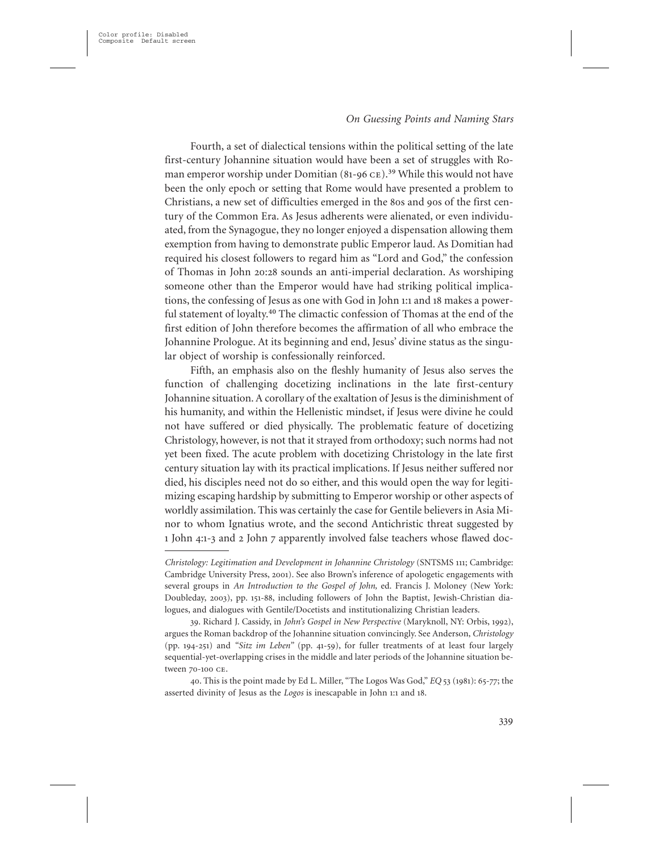Fourth, a set of dialectical tensions within the political setting of the late first-century Johannine situation would have been a set of struggles with Roman emperor worship under Domitian (81-96 CE).<sup>39</sup> While this would not have been the only epoch or setting that Rome would have presented a problem to Christians, a new set of difficulties emerged in the 80s and 90s of the first century of the Common Era. As Jesus adherents were alienated, or even individuated, from the Synagogue, they no longer enjoyed a dispensation allowing them exemption from having to demonstrate public Emperor laud. As Domitian had required his closest followers to regard him as "Lord and God," the confession of Thomas in John 20:28 sounds an anti-imperial declaration. As worshiping someone other than the Emperor would have had striking political implications, the confessing of Jesus as one with God in John 1:1 and 18 makes a powerful statement of loyalty.<sup>40</sup> The climactic confession of Thomas at the end of the first edition of John therefore becomes the affirmation of all who embrace the Johannine Prologue. At its beginning and end, Jesus' divine status as the singular object of worship is confessionally reinforced.

Fifth, an emphasis also on the fleshly humanity of Jesus also serves the function of challenging docetizing inclinations in the late first-century Johannine situation. A corollary of the exaltation of Jesus is the diminishment of his humanity, and within the Hellenistic mindset, if Jesus were divine he could not have suffered or died physically. The problematic feature of docetizing Christology, however, is not that it strayed from orthodoxy; such norms had not yet been fixed. The acute problem with docetizing Christology in the late first century situation lay with its practical implications. If Jesus neither suffered nor died, his disciples need not do so either, and this would open the way for legitimizing escaping hardship by submitting to Emperor worship or other aspects of worldly assimilation. This was certainly the case for Gentile believers in Asia Minor to whom Ignatius wrote, and the second Antichristic threat suggested by 1 John 4:1-3 and 2 John 7 apparently involved false teachers whose flawed doc-

*Christology: Legitimation and Development in Johannine Christology* (SNTSMS 111; Cambridge: Cambridge University Press, 2001). See also Brown's inference of apologetic engagements with several groups in *An Introduction to the Gospel of John,* ed. Francis J. Moloney (New York: Doubleday, 2003), pp. 151-88, including followers of John the Baptist, Jewish-Christian dialogues, and dialogues with Gentile/Docetists and institutionalizing Christian leaders.

<sup>39.</sup> Richard J. Cassidy, in *John's Gospel in New Perspective* (Maryknoll, NY: Orbis, 1992), argues the Roman backdrop of the Johannine situation convincingly. See Anderson, *Christology* (pp. 194-251) and *"Sitz im Leben"* (pp. 41-59), for fuller treatments of at least four largely sequential-yet-overlapping crises in the middle and later periods of the Johannine situation between 70-100 ce.

<sup>40.</sup> This is the point made by Ed L. Miller, "The Logos Was God," *EQ* 53 (1981): 65-77; the asserted divinity of Jesus as the *Logos* is inescapable in John 1:1 and 18.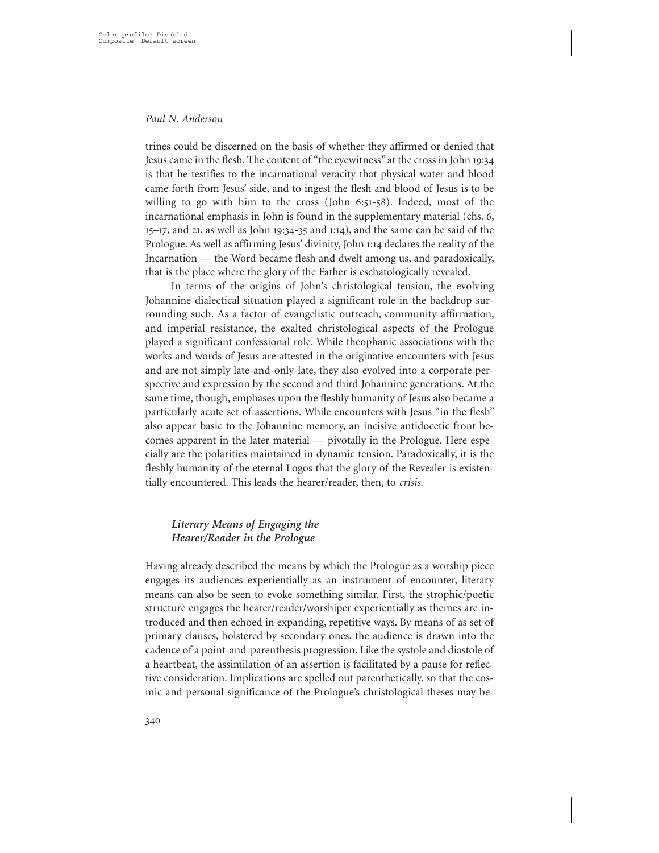trines could be discerned on the basis of whether they affirmed or denied that Jesus came in the flesh. The content of "the eyewitness" at the cross in John 19:34 is that he testifies to the incarnational veracity that physical water and blood came forth from Jesus' side, and to ingest the flesh and blood of Jesus is to be willing to go with him to the cross (John 6:51-58). Indeed, most of the incarnational emphasis in John is found in the supplementary material (chs. 6, 15–17, and 21, as well as John 19:34-35 and 1:14), and the same can be said of the Prologue. As well as affirming Jesus' divinity, John 1:14 declares the reality of the Incarnation — the Word became flesh and dwelt among us, and paradoxically, that is the place where the glory of the Father is eschatologically revealed.

In terms of the origins of John's christological tension, the evolving Johannine dialectical situation played a significant role in the backdrop surrounding such. As a factor of evangelistic outreach, community affirmation, and imperial resistance, the exalted christological aspects of the Prologue played a significant confessional role. While theophanic associations with the works and words of Jesus are attested in the originative encounters with Jesus and are not simply late-and-only-late, they also evolved into a corporate perspective and expression by the second and third Johannine generations. At the same time, though, emphases upon the fleshly humanity of Jesus also became a particularly acute set of assertions. While encounters with Jesus "in the flesh" also appear basic to the Johannine memory, an incisive antidocetic front becomes apparent in the later material — pivotally in the Prologue. Here especially are the polarities maintained in dynamic tension. Paradoxically, it is the fleshly humanity of the eternal Logos that the glory of the Revealer is existentially encountered. This leads the hearer/reader, then, to *crisis.*

## *Literary Means of Engaging the Hearer/Reader in the Prologue*

Having already described the means by which the Prologue as a worship piece engages its audiences experientially as an instrument of encounter, literary means can also be seen to evoke something similar. First, the strophic/poetic structure engages the hearer/reader/worshiper experientially as themes are introduced and then echoed in expanding, repetitive ways. By means of as set of primary clauses, bolstered by secondary ones, the audience is drawn into the cadence of a point-and-parenthesis progression. Like the systole and diastole of a heartbeat, the assimilation of an assertion is facilitated by a pause for reflective consideration. Implications are spelled out parenthetically, so that the cosmic and personal significance of the Prologue's christological theses may be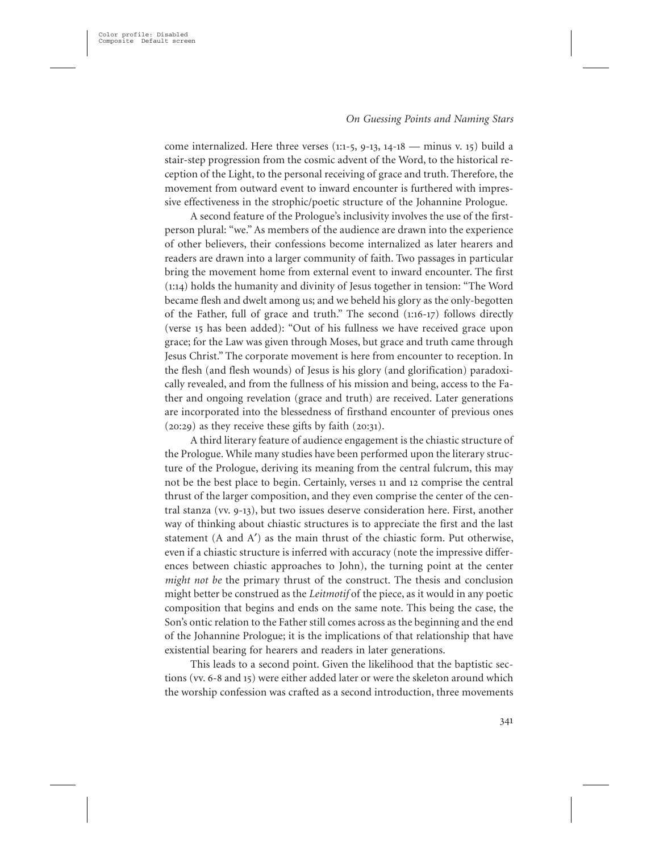come internalized. Here three verses  $(1:1-5, 9-13, 14-18$  - minus v. 15) build a stair-step progression from the cosmic advent of the Word, to the historical reception of the Light, to the personal receiving of grace and truth. Therefore, the movement from outward event to inward encounter is furthered with impressive effectiveness in the strophic/poetic structure of the Johannine Prologue.

A second feature of the Prologue's inclusivity involves the use of the firstperson plural: "we." As members of the audience are drawn into the experience of other believers, their confessions become internalized as later hearers and readers are drawn into a larger community of faith. Two passages in particular bring the movement home from external event to inward encounter. The first (1:14) holds the humanity and divinity of Jesus together in tension: "The Word became flesh and dwelt among us; and we beheld his glory as the only-begotten of the Father, full of grace and truth." The second (1:16-17) follows directly (verse 15 has been added): "Out of his fullness we have received grace upon grace; for the Law was given through Moses, but grace and truth came through Jesus Christ." The corporate movement is here from encounter to reception. In the flesh (and flesh wounds) of Jesus is his glory (and glorification) paradoxically revealed, and from the fullness of his mission and being, access to the Father and ongoing revelation (grace and truth) are received. Later generations are incorporated into the blessedness of firsthand encounter of previous ones (20:29) as they receive these gifts by faith (20:31).

A third literary feature of audience engagement is the chiastic structure of the Prologue. While many studies have been performed upon the literary structure of the Prologue, deriving its meaning from the central fulcrum, this may not be the best place to begin. Certainly, verses 11 and 12 comprise the central thrust of the larger composition, and they even comprise the center of the central stanza (vv. 9-13), but two issues deserve consideration here. First, another way of thinking about chiastic structures is to appreciate the first and the last statement  $(A \text{ and } A')$  as the main thrust of the chiastic form. Put otherwise, even if a chiastic structure is inferred with accuracy (note the impressive differences between chiastic approaches to John), the turning point at the center *might not be* the primary thrust of the construct. The thesis and conclusion might better be construed as the *Leitmotif* of the piece, as it would in any poetic composition that begins and ends on the same note. This being the case, the Son's ontic relation to the Father still comes across as the beginning and the end of the Johannine Prologue; it is the implications of that relationship that have existential bearing for hearers and readers in later generations.

This leads to a second point. Given the likelihood that the baptistic sections (vv. 6-8 and 15) were either added later or were the skeleton around which the worship confession was crafted as a second introduction, three movements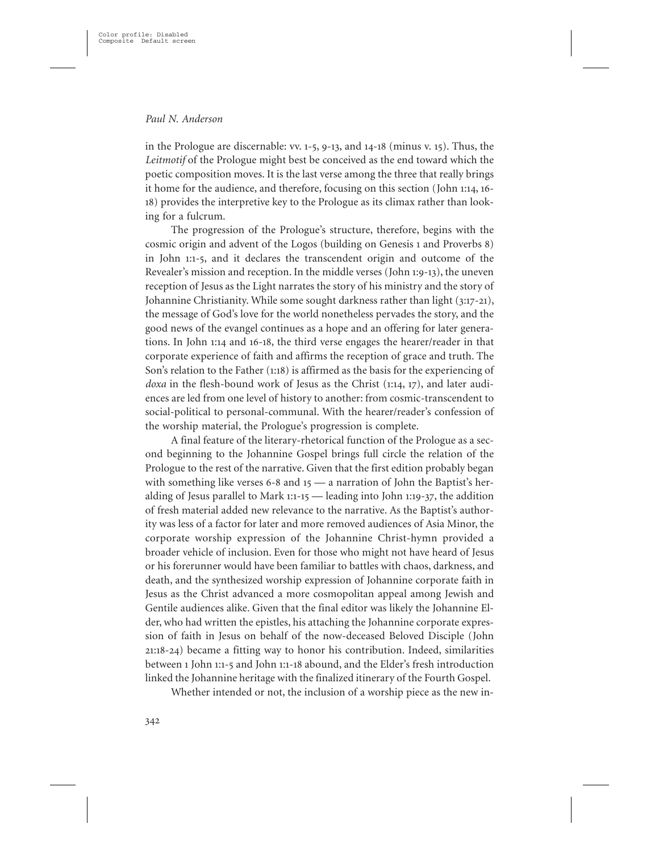in the Prologue are discernable: vv. 1-5, 9-13, and 14-18 (minus v. 15). Thus, the *Leitmotif* of the Prologue might best be conceived as the end toward which the poetic composition moves. It is the last verse among the three that really brings it home for the audience, and therefore, focusing on this section (John 1:14, 16- 18) provides the interpretive key to the Prologue as its climax rather than looking for a fulcrum.

The progression of the Prologue's structure, therefore, begins with the cosmic origin and advent of the Logos (building on Genesis 1 and Proverbs 8) in John 1:1-5, and it declares the transcendent origin and outcome of the Revealer's mission and reception. In the middle verses (John 1:9-13), the uneven reception of Jesus as the Light narrates the story of his ministry and the story of Johannine Christianity. While some sought darkness rather than light (3:17-21), the message of God's love for the world nonetheless pervades the story, and the good news of the evangel continues as a hope and an offering for later generations. In John 1:14 and 16-18, the third verse engages the hearer/reader in that corporate experience of faith and affirms the reception of grace and truth. The Son's relation to the Father (1:18) is affirmed as the basis for the experiencing of *doxa* in the flesh-bound work of Jesus as the Christ (1:14, 17), and later audiences are led from one level of history to another: from cosmic-transcendent to social-political to personal-communal. With the hearer/reader's confession of the worship material, the Prologue's progression is complete.

A final feature of the literary-rhetorical function of the Prologue as a second beginning to the Johannine Gospel brings full circle the relation of the Prologue to the rest of the narrative. Given that the first edition probably began with something like verses 6-8 and 15 — a narration of John the Baptist's heralding of Jesus parallel to Mark 1:1-15 — leading into John 1:19-37, the addition of fresh material added new relevance to the narrative. As the Baptist's authority was less of a factor for later and more removed audiences of Asia Minor, the corporate worship expression of the Johannine Christ-hymn provided a broader vehicle of inclusion. Even for those who might not have heard of Jesus or his forerunner would have been familiar to battles with chaos, darkness, and death, and the synthesized worship expression of Johannine corporate faith in Jesus as the Christ advanced a more cosmopolitan appeal among Jewish and Gentile audiences alike. Given that the final editor was likely the Johannine Elder, who had written the epistles, his attaching the Johannine corporate expression of faith in Jesus on behalf of the now-deceased Beloved Disciple (John 21:18-24) became a fitting way to honor his contribution. Indeed, similarities between 1 John 1:1-5 and John 1:1-18 abound, and the Elder's fresh introduction linked the Johannine heritage with the finalized itinerary of the Fourth Gospel.

Whether intended or not, the inclusion of a worship piece as the new in-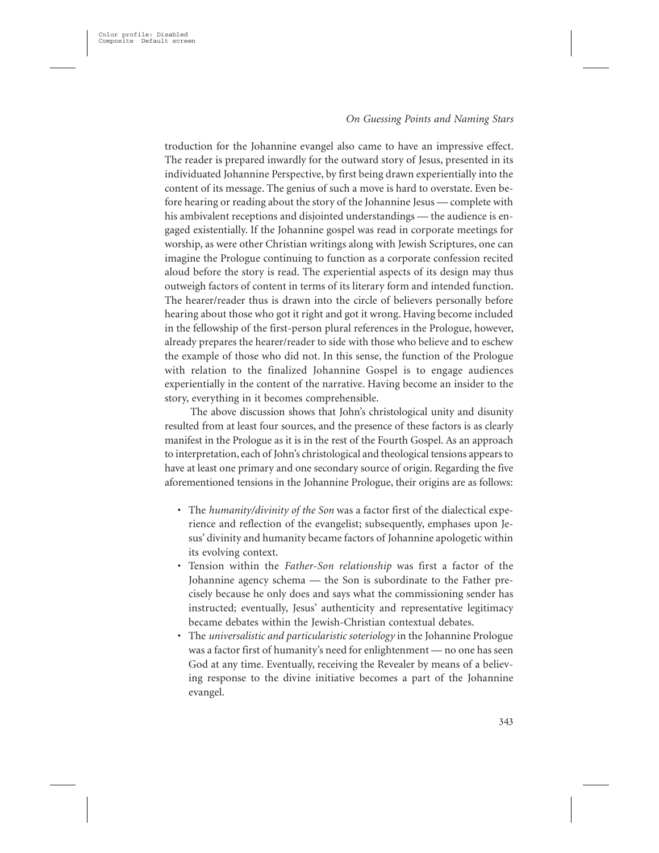troduction for the Johannine evangel also came to have an impressive effect. The reader is prepared inwardly for the outward story of Jesus, presented in its individuated Johannine Perspective, by first being drawn experientially into the content of its message. The genius of such a move is hard to overstate. Even before hearing or reading about the story of the Johannine Jesus — complete with his ambivalent receptions and disjointed understandings — the audience is engaged existentially. If the Johannine gospel was read in corporate meetings for worship, as were other Christian writings along with Jewish Scriptures, one can imagine the Prologue continuing to function as a corporate confession recited aloud before the story is read. The experiential aspects of its design may thus outweigh factors of content in terms of its literary form and intended function. The hearer/reader thus is drawn into the circle of believers personally before hearing about those who got it right and got it wrong. Having become included in the fellowship of the first-person plural references in the Prologue, however, already prepares the hearer/reader to side with those who believe and to eschew the example of those who did not. In this sense, the function of the Prologue with relation to the finalized Johannine Gospel is to engage audiences experientially in the content of the narrative. Having become an insider to the story, everything in it becomes comprehensible.

The above discussion shows that John's christological unity and disunity resulted from at least four sources, and the presence of these factors is as clearly manifest in the Prologue as it is in the rest of the Fourth Gospel. As an approach to interpretation, each of John's christological and theological tensions appears to have at least one primary and one secondary source of origin. Regarding the five aforementioned tensions in the Johannine Prologue, their origins are as follows:

- The *humanity/divinity of the Son* was a factor first of the dialectical experience and reflection of the evangelist; subsequently, emphases upon Jesus' divinity and humanity became factors of Johannine apologetic within its evolving context.
- Tension within the *Father-Son relationship* was first a factor of the Johannine agency schema — the Son is subordinate to the Father precisely because he only does and says what the commissioning sender has instructed; eventually, Jesus' authenticity and representative legitimacy became debates within the Jewish-Christian contextual debates.
- The *universalistic and particularistic soteriology* in the Johannine Prologue was a factor first of humanity's need for enlightenment — no one has seen God at any time. Eventually, receiving the Revealer by means of a believing response to the divine initiative becomes a part of the Johannine evangel.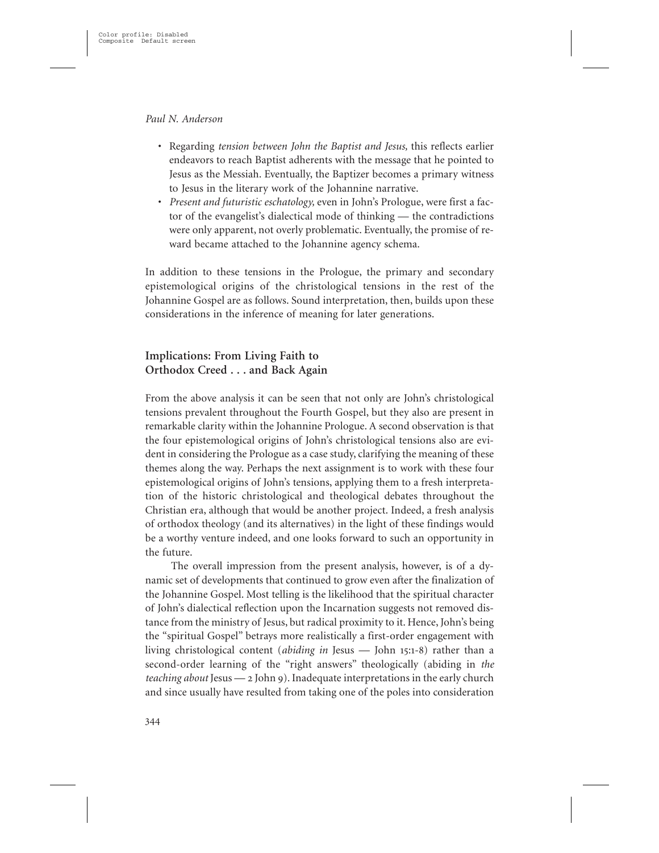- Regarding *tension between John the Baptist and Jesus,* this reflects earlier endeavors to reach Baptist adherents with the message that he pointed to Jesus as the Messiah. Eventually, the Baptizer becomes a primary witness to Jesus in the literary work of the Johannine narrative.
- *Present and futuristic eschatology,* even in John's Prologue, were first a factor of the evangelist's dialectical mode of thinking — the contradictions were only apparent, not overly problematic. Eventually, the promise of reward became attached to the Johannine agency schema.

In addition to these tensions in the Prologue, the primary and secondary epistemological origins of the christological tensions in the rest of the Johannine Gospel are as follows. Sound interpretation, then, builds upon these considerations in the inference of meaning for later generations.

## **Implications: From Living Faith to Orthodox Creed . . . and Back Again**

From the above analysis it can be seen that not only are John's christological tensions prevalent throughout the Fourth Gospel, but they also are present in remarkable clarity within the Johannine Prologue. A second observation is that the four epistemological origins of John's christological tensions also are evident in considering the Prologue as a case study, clarifying the meaning of these themes along the way. Perhaps the next assignment is to work with these four epistemological origins of John's tensions, applying them to a fresh interpretation of the historic christological and theological debates throughout the Christian era, although that would be another project. Indeed, a fresh analysis of orthodox theology (and its alternatives) in the light of these findings would be a worthy venture indeed, and one looks forward to such an opportunity in the future.

The overall impression from the present analysis, however, is of a dynamic set of developments that continued to grow even after the finalization of the Johannine Gospel. Most telling is the likelihood that the spiritual character of John's dialectical reflection upon the Incarnation suggests not removed distance from the ministry of Jesus, but radical proximity to it. Hence, John's being the "spiritual Gospel" betrays more realistically a first-order engagement with living christological content (*abiding in* Jesus — John 15:1-8) rather than a second-order learning of the "right answers" theologically (abiding in *the teaching about* Jesus — 2 John 9). Inadequate interpretations in the early church and since usually have resulted from taking one of the poles into consideration